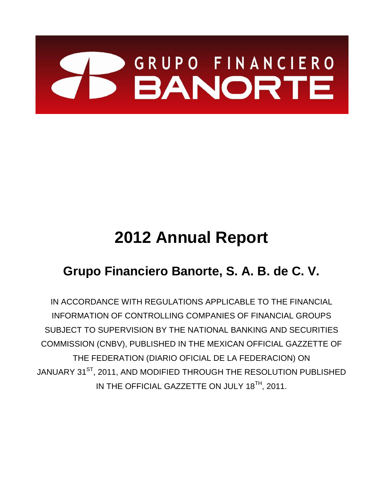# B GRUPO FINANCIERO

# **2012 Annual Report**

# **Grupo Financiero Banorte, S. A. B. de C. V.**

IN ACCORDANCE WITH REGULATIONS APPLICABLE TO THE FINANCIAL INFORMATION OF CONTROLLING COMPANIES OF FINANCIAL GROUPS SUBJECT TO SUPERVISION BY THE NATIONAL BANKING AND SECURITIES COMMISSION (CNBV), PUBLISHED IN THE MEXICAN OFFICIAL GAZZETTE OF THE FEDERATION (DIARIO OFICIAL DE LA FEDERACION) ON JANUARY 31<sup>ST</sup>, 2011, AND MODIFIED THROUGH THE RESOLUTION PUBLISHED IN THE OFFICIAL GAZZETTE ON JULY 18<sup>TH</sup>, 2011.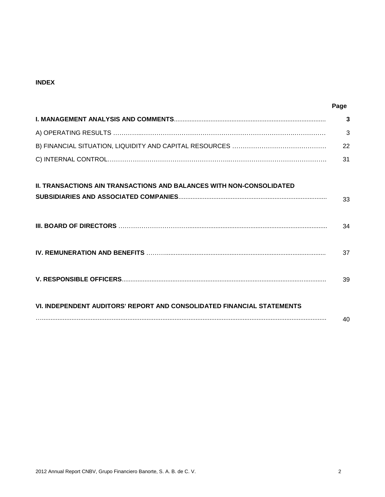### **INDEX**

|                                                                             | Page |
|-----------------------------------------------------------------------------|------|
|                                                                             | 3    |
|                                                                             | 3    |
|                                                                             | 22   |
|                                                                             | 31   |
| <b>II. TRANSACTIONS AIN TRANSACTIONS AND BALANCES WITH NON-CONSOLIDATED</b> | 33   |
|                                                                             | 34   |
|                                                                             | 37   |
|                                                                             | 39   |
| VI. INDEPENDENT AUDITORS' REPORT AND CONSOLIDATED FINANCIAL STATEMENTS      | 40   |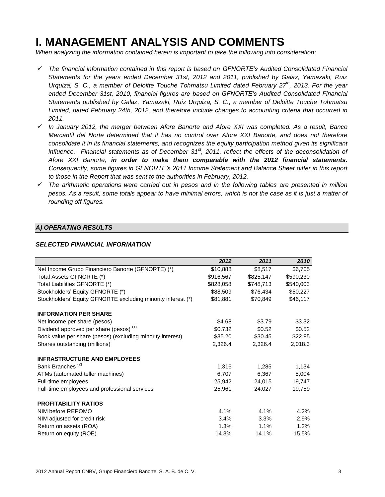## **I. MANAGEMENT ANALYSIS AND COMMENTS**

*When analyzing the information contained herein is important to take the following into consideration:* 

- *The financial information contained in this report is based on GFNORTE's Audited Consolidated Financial Statements for the years ended December 31st, 2012 and 2011, published by Galaz, Yamazaki, Ruiz Urquiza, S. C., a member of Deloitte Touche Tohmatsu Limited dated February 27th , 2013. For the year ended December 31st, 2010, financial figures are based on GFNORTE's Audited Consolidated Financial Statements published by Galaz, Yamazaki, Ruiz Urquiza, S. C., a member of Deloitte Touche Tohmatsu Limited, dated February 24th, 2012, and therefore include changes to accounting criteria that occurred in 2011.*
- *In January 2012, the merger between Afore Banorte and Afore XXI was completed. As a result, Banco Mercantil del Norte determined that it has no control over Afore XXI Banorte, and does not therefore consolidate it in its financial statements, and recognizes the equity participation method given its significant influence. Financial statements as of December 31st, 2011, reflect the effects of the deconsolidation of Afore XXI Banorte, in order to make them comparable with the 2012 financial statements. Consequently, some figures in GFNORTE's 2011 Income Statement and Balance Sheet differ in this report to those in the Report that was sent to the authorities in February, 2012.*
- *The arithmetic operations were carried out in pesos and in the following tables are presented in million pesos. As a result, some totals appear to have minimal errors, which is not the case as it is just a matter of rounding off figures.*

### *A) OPERATING RESULTS*

### *SELECTED FINANCIAL INFORMATION*

|                                                              | 2012      | 2011      | 2010      |
|--------------------------------------------------------------|-----------|-----------|-----------|
| Net Income Grupo Financiero Banorte (GFNORTE) (*)            | \$10,888  | \$8,517   | \$6,705   |
| Total Assets GFNORTE (*)                                     | \$916,567 | \$825,147 | \$590,230 |
| Total Liabilities GFNORTE (*)                                | \$828,058 | \$748,713 | \$540,003 |
| Stockholders' Equity GFNORTE (*)                             | \$88,509  | \$76,434  | \$50,227  |
| Stockholders' Equity GFNORTE excluding minority interest (*) | \$81,881  | \$70,849  | \$46,117  |
| <b>INFORMATION PER SHARE</b>                                 |           |           |           |
| Net income per share (pesos)                                 | \$4.68    | \$3.79    | \$3.32    |
| Dividend approved per share (pesos) <sup>(1)</sup>           | \$0.732   | \$0.52    | \$0.52    |
| Book value per share (pesos) (excluding minority interest)   | \$35.20   | \$30.45   | \$22.85   |
| Shares outstanding (millions)                                | 2,326.4   | 2,326.4   | 2,018.3   |
| <b>INFRASTRUCTURE AND EMPLOYEES</b>                          |           |           |           |
| Bank Branches <sup>(2)</sup>                                 | 1,316     | 1,285     | 1,134     |
| ATMs (automated teller machines)                             | 6,707     | 6,367     | 5,004     |
| Full-time employees                                          | 25,942    | 24,015    | 19,747    |
| Full-time employees and professional services                | 25,961    | 24,027    | 19,759    |
| <b>PROFITABILITY RATIOS</b>                                  |           |           |           |
| NIM before REPOMO                                            | 4.1%      | 4.1%      | 4.2%      |
| NIM adjusted for credit risk                                 | 3.4%      | 3.3%      | 2.9%      |
| Return on assets (ROA)                                       | 1.3%      | 1.1%      | 1.2%      |
| Return on equity (ROE)                                       | 14.3%     | 14.1%     | 15.5%     |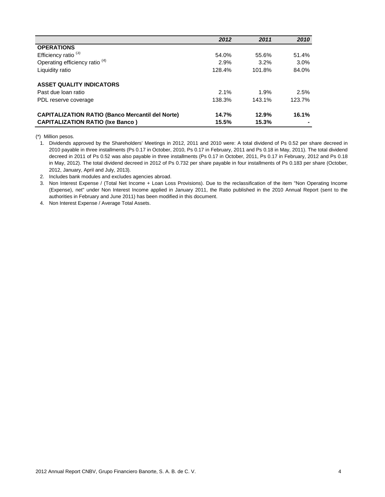|                                                         | 2012   | 2011    | 2010   |
|---------------------------------------------------------|--------|---------|--------|
| <b>OPERATIONS</b>                                       |        |         |        |
| Efficiency ratio $(3)$                                  | 54.0%  | 55.6%   | 51.4%  |
| Operating efficiency ratio <sup>(4)</sup>               | 2.9%   | $3.2\%$ | 3.0%   |
| Liquidity ratio                                         | 128.4% | 101.8%  | 84.0%  |
| <b>ASSET QUALITY INDICATORS</b>                         |        |         |        |
| Past due loan ratio                                     | 2.1%   | 1.9%    | 2.5%   |
| PDL reserve coverage                                    | 138.3% | 143.1%  | 123.7% |
| <b>CAPITALIZATION RATIO (Banco Mercantil del Norte)</b> | 14.7%  | 12.9%   | 16.1%  |
| <b>CAPITALIZATION RATIO (Ixe Banco)</b>                 | 15.5%  | 15.3%   |        |

(\*) Million pesos.

- 1. Dividends approved by the Shareholders' Meetings in 2012, 2011 and 2010 were: A total dividend of Ps 0.52 per share decreed in 2010 payable in three installments (Ps 0.17 in October, 2010, Ps 0.17 in February, 2011 and Ps 0.18 in May, 2011). The total dividend decreed in 2011 of Ps 0.52 was also payable in three installments (Ps 0.17 in October, 2011, Ps 0.17 in February, 2012 and Ps 0.18 in May, 2012). The total dividend decreed in 2012 of Ps 0.732 per share payable in four installments of Ps 0.183 per share (October, 2012, January, April and July, 2013).
- 2. Includes bank modules and excludes agencies abroad.

3. Non Interest Expense / (Total Net Income + Loan Loss Provisions). Due to the reclassification of the item "Non Operating Income (Expense), net" under Non Interest Income applied in January 2011, the Ratio published in the 2010 Annual Report (sent to the authorities in February and June 2011) has been modified in this document.

4. Non Interest Expense / Average Total Assets.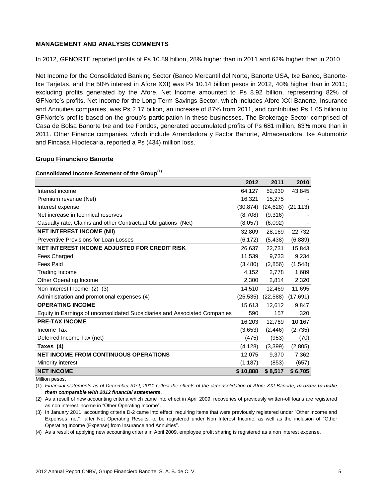### **MANAGEMENT AND ANALYSIS COMMENTS**

In 2012, GFNORTE reported profits of Ps 10.89 billion, 28% higher than in 2011 and 62% higher than in 2010.

Net Income for the Consolidated Banking Sector (Banco Mercantil del Norte, Banorte USA, Ixe Banco, Banorte-Ixe Tarjetas, and the 50% interest in Afore XXI) was Ps 10.14 billion pesos in 2012, 40% higher than in 2011; excluding profits generated by the Afore, Net Income amounted to Ps 8.92 billion, representing 82% of GFNorte's profits. Net Income for the Long Term Savings Sector, which includes Afore XXI Banorte, Insurance and Annuities companies, was Ps 2.17 billion, an increase of 87% from 2011, and contributed Ps 1.05 billion to GFNorte's profits based on the group's participation in these businesses. The Brokerage Sector comprised of Casa de Bolsa Banorte Ixe and Ixe Fondos, generated accumulated profits of Ps 681 million, 63% more than in 2011. Other Finance companies, which include Arrendadora y Factor Banorte, Almacenadora, Ixe Automotriz and Fincasa Hipotecaria, reported a Ps (434) million loss.

### **Grupo Financiero Banorte**

### **Consolidated Income Statement of the Group(1)**

|                                                                            | 2012      | 2011      | 2010      |
|----------------------------------------------------------------------------|-----------|-----------|-----------|
| Interest income                                                            | 64,127    | 52,930    | 43,845    |
| Premium revenue (Net)                                                      | 16,321    | 15,275    |           |
| Interest expense                                                           | (30, 874) | (24, 628) | (21, 113) |
| Net increase in technical reserves                                         | (8,708)   | (9,316)   |           |
| Casualty rate, Claims and other Contractual Obligations (Net)              | (8,057)   | (6,092)   |           |
| <b>NET INTEREST INCOME (NII)</b>                                           | 32,809    | 28,169    | 22,732    |
| Preventive Provisions for Loan Losses                                      | (6, 172)  | (5, 438)  | (6,889)   |
| NET INTEREST INCOME ADJUSTED FOR CREDIT RISK                               | 26.637    | 22,731    | 15.843    |
| Fees Charged                                                               | 11,539    | 9,733     | 9,234     |
| <b>Fees Paid</b>                                                           | (3,480)   | (2,856)   | (1,548)   |
| <b>Trading Income</b>                                                      | 4,152     | 2,778     | 1,689     |
| Other Operating Income                                                     | 2,300     | 2,814     | 2,320     |
| Non Interest Income (2) (3)                                                | 14.510    | 12.469    | 11,695    |
| Administration and promotional expenses (4)                                | (25, 535) | (22, 588) | (17, 691) |
| <b>OPERATING INCOME</b>                                                    | 15.613    | 12.612    | 9,847     |
| Equity in Earnings of unconsolidated Subsidiaries and Associated Companies | 590       | 157       | 320       |
| <b>PRE-TAX INCOME</b>                                                      | 16,203    | 12,769    | 10,167    |
| Income Tax                                                                 | (3,653)   | (2, 446)  | (2,735)   |
| Deferred Income Tax (net)                                                  | (475)     | (953)     | (70)      |
| Taxes (4)                                                                  | (4, 128)  | (3,399)   | (2,805)   |
| <b>NET INCOME FROM CONTINUOUS OPERATIONS</b>                               | 12,075    | 9,370     | 7,362     |
| Minority interest                                                          | (1, 187)  | (853)     | (657)     |
| <b>NET INCOME</b>                                                          | \$10,888  | \$8,517   | \$6,705   |

Million pesos.

(1) *Financial statements as of December 31st, 2011 reflect the effects of the deconsolidation of Afore XXI Banorte, in order to make them comparable with 2012 financial statements.*

(2) As a result of new accounting criteria which came into effect in April 2009, recoveries of previously written-off loans are registered as non interest income in "Other Operating Income".

(3) In January 2011, accounting criteria D-2 came into effect requiring items that were previously registered under "Other Income and Expenses, net" after Net Operating Results, to be registered under Non Interest Income; as well as the inclusion of "Other Operating Income (Expense) from Insurance and Annuities".

(4) As a result of applying new accounting criteria in April 2009, employee profit sharing is registered as a non interest expense.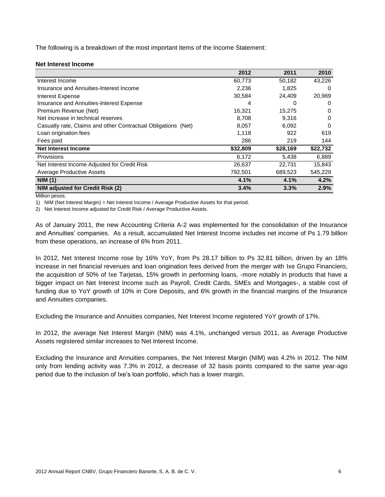The following is a breakdown of the most important items of the Income Statement:

### **Net Interest Income**

|                                                               | 2012     | 2011     | 2010     |
|---------------------------------------------------------------|----------|----------|----------|
| Interest Income                                               | 60,773   | 50,182   | 43,226   |
| Insurance and Annuities-Interest Income                       | 2,236    | 1,825    | 0        |
| Interest Expense                                              | 30,584   | 24,409   | 20,969   |
| Insurance and Annuities-Interest Expense                      | 4        | 0        | 0        |
| Premium Revenue (Net)                                         | 16,321   | 15,275   | 0        |
| Net increase in technical reserves                            | 8,708    | 9,316    | 0        |
| Casualty rate, Claims and other Contractual Obligations (Net) | 8,057    | 6,092    | 0        |
| Loan origination fees                                         | 1,118    | 922      | 619      |
| Fees paid                                                     | 286      | 219      | 144      |
| <b>Net Interest Income</b>                                    | \$32,809 | \$28,169 | \$22,732 |
| Provisions                                                    | 6,172    | 5,438    | 6,889    |
| Net Interest Income Adjusted for Credit Risk                  | 26,637   | 22,731   | 15,843   |
| <b>Average Productive Assets</b>                              | 792,501  | 689,523  | 545,229  |
| <b>NIM (1)</b>                                                | 4.1%     | 4.1%     | 4.2%     |
| NIM adjusted for Credit Risk (2)                              | 3.4%     | 3.3%     | 2.9%     |

Million pesos.

1) NIM (Net Interest Margin) = Net Interest Income / Average Productive Assets for that period.

2) Net Interest Income adjusted for Credit Risk / Average Productive Assets.

As of January 2011, the new Accounting Criteria A-2 was implemented for the consolidation of the Insurance and Annuities' companies. As a result, accumulated Net Interest Income includes net income of Ps 1.79 billion from these operations, an increase of 6% from 2011.

In 2012, Net Interest Income rose by 16% YoY, from Ps 28.17 billion to Ps 32.81 billion, driven by an 18% increase in net financial revenues and loan origination fees derived from the merger with Ixe Grupo Financiero, the acquisition of 50% of Ixe Tarjetas, 15% growth in performing loans, -more notably in products that have a bigger impact on Net Interest Income such as Payroll, Credit Cards, SMEs and Mortgages-, a stable cost of funding due to YoY growth of 10% in Core Deposits, and 6% growth in the financial margins of the Insurance and Annuities companies.

Excluding the Insurance and Annuities companies, Net Interest Income registered YoY growth of 17%.

In 2012, the average Net Interest Margin (NIM) was 4.1%, unchanged versus 2011, as Average Productive Assets registered similar increases to Net Interest Income.

Excluding the Insurance and Annuities companies, the Net Interest Margin (NIM) was 4.2% in 2012. The NIM only from lending activity was 7.3% in 2012, a decrease of 32 basis points compared to the same year-ago period due to the inclusion of Ixe's loan portfolio, which has a lower margin.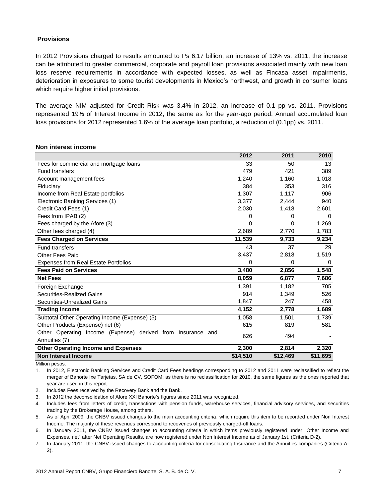### **Provisions**

In 2012 Provisions charged to results amounted to Ps 6.17 billion, an increase of 13% vs. 2011; the increase can be attributed to greater commercial, corporate and payroll loan provisions associated mainly with new loan loss reserve requirements in accordance with expected losses, as well as Fincasa asset impairments, deterioration in exposures to some tourist developments in Mexico's northwest, and growth in consumer loans which require higher initial provisions.

The average NIM adjusted for Credit Risk was 3.4% in 2012, an increase of 0.1 pp vs. 2011. Provisions represented 19% of Interest Income in 2012, the same as for the year-ago period. Annual accumulated loan loss provisions for 2012 represented 1.6% of the average loan portfolio, a reduction of (0.1pp) vs. 2011.

|                                                             | 2012     | 2011     | 2010        |
|-------------------------------------------------------------|----------|----------|-------------|
| Fees for commercial and mortgage loans                      | 33       | 50       | 13          |
| <b>Fund transfers</b>                                       | 479      | 421      | 389         |
| Account management fees                                     | 1,240    | 1,160    | 1,018       |
| Fiduciary                                                   | 384      | 353      | 316         |
| Income from Real Estate portfolios                          | 1,307    | 1,117    | 906         |
| Electronic Banking Services (1)                             | 3,377    | 2,444    | 940         |
| Credit Card Fees (1)                                        | 2,030    | 1,418    | 2,601       |
| Fees from IPAB (2)                                          | 0        | 0        | 0           |
| Fees charged by the Afore (3)                               | 0        | 0        | 1,269       |
| Other fees charged (4)                                      | 2,689    | 2,770    | 1,783       |
| <b>Fees Charged on Services</b>                             | 11,539   | 9,733    | 9,234       |
| <b>Fund transfers</b>                                       | 43       | 37       | 29          |
| Other Fees Paid                                             | 3,437    | 2,818    | 1,519       |
| <b>Expenses from Real Estate Portfolios</b>                 | 0        | 0        | $\mathbf 0$ |
| <b>Fees Paid on Services</b>                                | 3,480    | 2,856    | 1,548       |
| <b>Net Fees</b>                                             | 8,059    | 6,877    | 7,686       |
| Foreign Exchange                                            | 1,391    | 1,182    | 705         |
| Securities-Realized Gains                                   | 914      | 1,349    | 526         |
| Securities-Unrealized Gains                                 | 1,847    | 247      | 458         |
| <b>Trading Income</b>                                       | 4,152    | 2,778    | 1,689       |
| Subtotal Other Operating Income (Expense) (5)               | 1,058    | 1,501    | 1,739       |
| Other Products (Expense) net (6)                            | 615      | 819      | 581         |
| Other Operating Income (Expense) derived from Insurance and | 626      | 494      |             |
| Annuities (7)                                               |          |          |             |
| <b>Other Operating Income and Expenses</b>                  | 2,300    | 2,814    | 2,320       |
| <b>Non Interest Income</b>                                  | \$14,510 | \$12,469 | \$11,695    |

### **Non interest income**

Million pesos.

1. In 2012, Electronic Banking Services and Credit Card Fees headings corresponding to 2012 and 2011 were reclassified to reflect the merger of Banorte Ixe Tarjetas, SA de CV, SOFOM; as there is no reclassification for 2010, the same figures as the ones reported that year are used in this report.

2. Includes Fees received by the Recovery Bank and the Bank.

3. In 2012 the deconsolidation of Afore XXI Banorte's figures since 2011 was recognized.

4. Includes fees from letters of credit, transactions with pension funds, warehouse services, financial advisory services, and securities trading by the Brokerage House, among others.

5. As of April 2009, the CNBV issued changes to the main accounting criteria, which require this item to be recorded under Non Interest Income. The majority of these revenues correspond to recoveries of previously charged-off loans.

6. In January 2011, the CNBV issued changes to accounting criteria in which items previously registered under "Other Income and Expenses, net" after Net Operating Results, are now registered under Non Interest Income as of January 1st. (Criteria D-2).

7. In January 2011, the CNBV issued changes to accounting criteria for consolidating Insurance and the Annuities companies (Criteria A-2).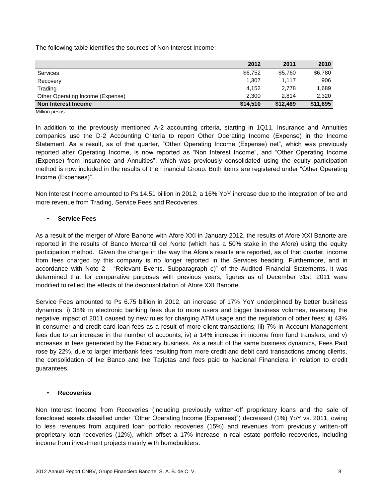The following table identifies the sources of Non Interest Income:

|                                  | 2012     | 2011     | 2010     |
|----------------------------------|----------|----------|----------|
| <b>Services</b>                  | \$6,752  | \$5,760  | \$6,780  |
| Recovery                         | 1,307    | 1.117    | 906      |
| Trading                          | 4.152    | 2,778    | 1,689    |
| Other Operating Income (Expense) | 2.300    | 2.814    | 2,320    |
| Non Interest Income              | \$14,510 | \$12.469 | \$11,695 |

Million pesos.

In addition to the previously mentioned A-2 accounting criteria, starting in 1Q11, Insurance and Annuities companies use the D-2 Accounting Criteria to report Other Operating Income (Expense) in the Income Statement. As a result, as of that quarter, "Other Operating Income (Expense) net", which was previously reported after Operating Income, is now reported as "Non Interest Income", and "Other Operating Income (Expense) from Insurance and Annuities", which was previously consolidated using the equity participation method is now included in the results of the Financial Group. Both items are registered under "Other Operating Income (Expenses)".

Non Interest Income amounted to Ps 14.51 billion in 2012, a 16% YoY increase due to the integration of Ixe and more revenue from Trading, Service Fees and Recoveries.

### • **Service Fees**

As a result of the merger of Afore Banorte with Afore XXI in January 2012, the results of Afore XXI Banorte are reported in the results of Banco Mercantil del Norte (which has a 50% stake in the Afore) using the equity participation method. Given the change in the way the Afore's results are reported, as of that quarter, income from fees charged by this company is no longer reported in the Services heading. Furthermore, and in accordance with Note 2 - "Relevant Events. Subparagraph c)" of the Audited Financial Statements, it was determined that for comparative purposes with previous years, figures as of December 31st, 2011 were modified to reflect the effects of the deconsolidation of Afore XXI Banorte.

Service Fees amounted to Ps 6.75 billion in 2012, an increase of 17% YoY underpinned by better business dynamics: i) 38% in electronic banking fees due to more users and bigger business volumes, reversing the negative impact of 2011 caused by new rules for charging ATM usage and the regulation of other fees; ii) 43% in consumer and credit card loan fees as a result of more client transactions; iii) 7% in Account Management fees due to an increase in the number of accounts; iv) a 14% increase in income from fund transfers; and v) increases in fees generated by the Fiduciary business. As a result of the same business dynamics, Fees Paid rose by 22%, due to larger interbank fees resulting from more credit and debit card transactions among clients, the consolidation of Ixe Banco and Ixe Tarjetas and fees paid to Nacional Financiera in relation to credit guarantees.

### • **Recoveries**

Non Interest Income from Recoveries (including previously written-off proprietary loans and the sale of foreclosed assets classified under "Other Operating Income (Expenses)") decreased (1%) YoY vs. 2011, owing to less revenues from acquired loan portfolio recoveries (15%) and revenues from previously written-off proprietary loan recoveries (12%), which offset a 17% increase in real estate portfolio recoveries, including income from investment projects mainly with homebuilders.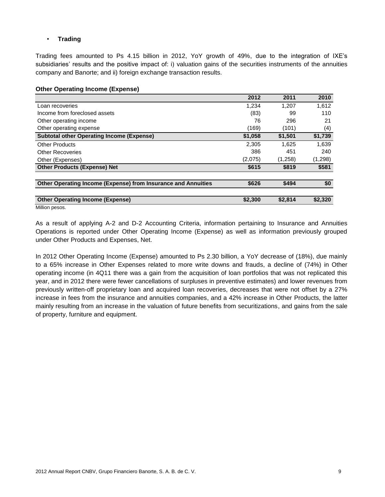### • **Trading**

Trading fees amounted to Ps 4.15 billion in 2012, YoY growth of 49%, due to the integration of IXE's subsidiaries' results and the positive impact of: i) valuation gains of the securities instruments of the annuities company and Banorte; and ii) foreign exchange transaction results.

|                                                               | 2012    | 2011    | 2010     |
|---------------------------------------------------------------|---------|---------|----------|
| Loan recoveries                                               | 1.234   | 1.207   | 1,612    |
| Income from foreclosed assets                                 | (83)    | 99      | 110      |
| Other operating income                                        | 76      | 296     | 21       |
| Other operating expense                                       | (169)   | (101)   | (4)      |
| <b>Subtotal other Operating Income (Expense)</b>              | \$1,058 | \$1,501 | \$1,739  |
| <b>Other Products</b>                                         | 2,305   | 1,625   | 1,639    |
| <b>Other Recoveries</b>                                       | 386     | 451     | 240      |
| Other (Expenses)                                              | (2,075) | (1,258) | (1, 298) |
| <b>Other Products (Expense) Net</b>                           | \$615   | \$819   | \$581    |
|                                                               |         |         |          |
| Other Operating Income (Expense) from Insurance and Annuities | \$626   | \$494   | \$0      |
|                                                               |         |         |          |
| <b>Other Operating Income (Expense)</b>                       | \$2,300 | \$2,814 | \$2,320  |

### **Other Operating Income (Expense)**

Million pesos.

As a result of applying A-2 and D-2 Accounting Criteria, information pertaining to Insurance and Annuities Operations is reported under Other Operating Income (Expense) as well as information previously grouped under Other Products and Expenses, Net.

In 2012 Other Operating Income (Expense) amounted to Ps 2.30 billion, a YoY decrease of (18%), due mainly to a 65% increase in Other Expenses related to more write downs and frauds, a decline of (74%) in Other operating income (in 4Q11 there was a gain from the acquisition of loan portfolios that was not replicated this year, and in 2012 there were fewer cancellations of surpluses in preventive estimates) and lower revenues from previously written-off proprietary loan and acquired loan recoveries, decreases that were not offset by a 27% increase in fees from the insurance and annuities companies, and a 42% increase in Other Products, the latter mainly resulting from an increase in the valuation of future benefits from securitizations, and gains from the sale of property, furniture and equipment.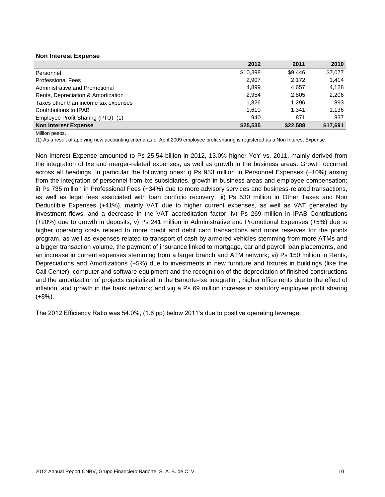### **Non Interest Expense**

|                                      | 2012     | 2011     | 2010     |
|--------------------------------------|----------|----------|----------|
| Personnel                            | \$10,398 | \$9.446  | \$7,077  |
| <b>Professional Fees</b>             | 2,907    | 2,172    | 1.414    |
| Administrative and Promotional       | 4.899    | 4,657    | 4.128    |
| Rents, Depreciation & Amortization   | 2.954    | 2,805    | 2,206    |
| Taxes other than income tax expenses | 1.826    | 1,296    | 893      |
| Contributions to IPAB                | 1.610    | 1.341    | 1.136    |
| Employee Profit Sharing (PTU) (1)    | 940      | 871      | 837      |
| <b>Non Interest Expense</b>          | \$25,535 | \$22,588 | \$17,691 |

Million pesos.

(1) As a result of applying new accounting criteria as of April 2009 employee profit sharing is registered as a Non Interest Expense.

Non Interest Expense amounted to Ps 25.54 billion in 2012, 13.0% higher YoY vs. 2011, mainly derived from the integration of Ixe and merger-related expenses, as well as growth in the business areas. Growth occurred across all headings, in particular the following ones: i) Ps 953 million in Personnel Expenses (+10%) arising from the integration of personnel from Ixe subsidiaries, growth in business areas and employee compensation; ii) Ps 735 million in Professional Fees (+34%) due to more advisory services and business-related transactions, as well as legal fees associated with loan portfolio recovery; iii) Ps 530 million in Other Taxes and Non Deductible Expenses (+41%), mainly VAT due to higher current expenses, as well as VAT generated by investment flows, and a decrease in the VAT accreditation factor; iv) Ps 269 million in IPAB Contributions (+20%) due to growth in deposits; v) Ps 241 million in Administrative and Promotional Expenses (+5%) due to higher operating costs related to more credit and debit card transactions and more reserves for the points program, as well as expenses related to transport of cash by armored vehicles stemming from more ATMs and a bigger transaction volume, the payment of insurance linked to mortgage, car and payroll loan placements, and an increase in current expenses stemming from a larger branch and ATM network; vi) Ps 150 million in Rents, Depreciations and Amortizations (+5%) due to investments in new furniture and fixtures in buildings (like the Call Center), computer and software equipment and the recognition of the depreciation of finished constructions and the amortization of projects capitalized in the Banorte-Ixe integration, higher office rents due to the effect of inflation, and growth in the bank network; and vii) a Ps 69 million increase in statutory employee profit sharing (+8%).

The 2012 Efficiency Ratio was 54.0%, (1.6 pp) below 2011's due to positive operating leverage.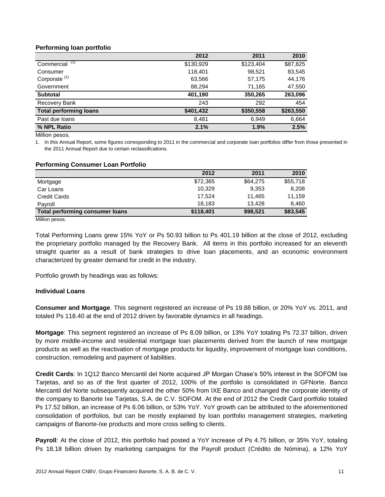### **Performing loan portfolio**

|                               | 2012      | 2011      | 2010      |
|-------------------------------|-----------|-----------|-----------|
| (1)<br>Commercial             | \$130,929 | \$123,404 | \$87,825  |
| Consumer                      | 118,401   | 98,521    | 83,545    |
| Corporate <sup>(1)</sup>      | 63,566    | 57,175    | 44,176    |
| Government                    | 88.294    | 71,165    | 47,550    |
| <b>Subtotal</b>               | 401,190   | 350,265   | 263,096   |
| Recovery Bank                 | 243       | 292       | 454       |
| <b>Total performing loans</b> | \$401,432 | \$350,558 | \$263,550 |
| Past due loans                | 8,481     | 6,949     | 6,664     |
| % NPL Ratio                   | 2.1%      | 1.9%      | 2.5%      |

Million pesos.

1. In this Annual Report, some figures corresponding to 2011 in the commercial and corporate loan portfolios differ from those presented in the 2011 Annual Report due to certain reclassifications.

### **Performing Consumer Loan Portfolio**

| 2012      | 2011     | 2010     |
|-----------|----------|----------|
| \$72,365  | \$64,275 | \$55,718 |
| 10.329    | 9,353    | 8,208    |
| 17.524    | 11.465   | 11.159   |
| 18.183    | 13.428   | 8.460    |
| \$118,401 | \$98,521 | \$83,545 |
|           |          |          |

Million pesos.

Total Performing Loans grew 15% YoY or Ps 50.93 billion to Ps 401.19 billion at the close of 2012, excluding the proprietary portfolio managed by the Recovery Bank. All items in this portfolio increased for an eleventh straight quarter as a result of bank strategies to drive loan placements, and an economic environment characterized by greater demand for credit in the industry.

Portfolio growth by headings was as follows:

### **Individual Loans**

**Consumer and Mortgage**. This segment registered an increase of Ps 19.88 billion, or 20% YoY vs. 2011, and totaled Ps 118.40 at the end of 2012 driven by favorable dynamics in all headings.

**Mortgage**: This segment registered an increase of Ps 8.09 billion, or 13% YoY totaling Ps 72.37 billion, driven by more middle-income and residential mortgage loan placements derived from the launch of new mortgage products as well as the reactivation of mortgage products for liquidity, improvement of mortgage loan conditions, construction, remodeling and payment of liabilities.

**Credit Cards**: In 1Q12 Banco Mercantil del Norte acquired JP Morgan Chase's 50% interest in the SOFOM Ixe Tarjetas, and so as of the first quarter of 2012, 100% of the portfolio is consolidated in GFNorte. Banco Mercantil del Norte subsequently acquired the other 50% from IXE Banco and changed the corporate identity of the company to Banorte Ixe Tarjetas, S.A. de C.V. SOFOM. At the end of 2012 the Credit Card portfolio totaled Ps 17.52 billion, an increase of Ps 6.06 billion, or 53% YoY. YoY growth can be attributed to the aforementioned consolidation of portfolios, but can be mostly explained by loan portfolio management strategies, marketing campaigns of Banorte-Ixe products and more cross selling to clients.

**Payroll**: At the close of 2012, this portfolio had posted a YoY increase of Ps 4.75 billion, or 35% YoY, totaling Ps 18.18 billion driven by marketing campaigns for the Payroll product (Crédito de Nómina), a 12% YoY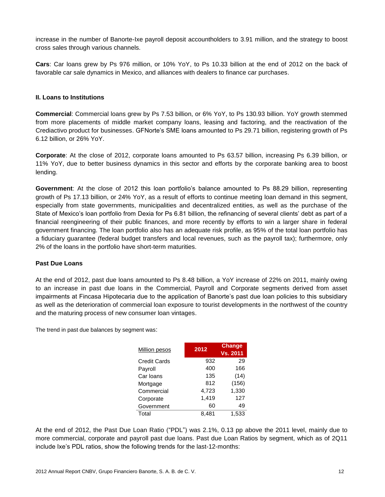increase in the number of Banorte-Ixe payroll deposit accountholders to 3.91 million, and the strategy to boost cross sales through various channels.

**Cars**: Car loans grew by Ps 976 million, or 10% YoY, to Ps 10.33 billion at the end of 2012 on the back of favorable car sale dynamics in Mexico, and alliances with dealers to finance car purchases.

### **II. Loans to Institutions**

**Commercial**: Commercial loans grew by Ps 7.53 billion, or 6% YoY, to Ps 130.93 billion. YoY growth stemmed from more placements of middle market company loans, leasing and factoring, and the reactivation of the Crediactivo product for businesses. GFNorte's SME loans amounted to Ps 29.71 billion, registering growth of Ps 6.12 billion, or 26% YoY.

**Corporate**: At the close of 2012, corporate loans amounted to Ps 63.57 billion, increasing Ps 6.39 billion, or 11% YoY, due to better business dynamics in this sector and efforts by the corporate banking area to boost lending.

**Government**: At the close of 2012 this loan portfolio's balance amounted to Ps 88.29 billion, representing growth of Ps 17.13 billion, or 24% YoY, as a result of efforts to continue meeting loan demand in this segment, especially from state governments, municipalities and decentralized entities, as well as the purchase of the State of Mexico's loan portfolio from Dexia for Ps 6.81 billion, the refinancing of several clients' debt as part of a financial reengineering of their public finances, and more recently by efforts to win a larger share in federal government financing. The loan portfolio also has an adequate risk profile, as 95% of the total loan portfolio has a fiduciary guarantee (federal budget transfers and local revenues, such as the payroll tax); furthermore, only 2% of the loans in the portfolio have short-term maturities.

### **Past Due Loans**

At the end of 2012, past due loans amounted to Ps 8.48 billion, a YoY increase of 22% on 2011, mainly owing to an increase in past due loans in the Commercial, Payroll and Corporate segments derived from asset impairments at Fincasa Hipotecaria due to the application of Banorte's past due loan policies to this subsidiary as well as the deterioration of commercial loan exposure to tourist developments in the northwest of the country and the maturing process of new consumer loan vintages.

The trend in past due balances by segment was:

| Million pesos       | 2012  | <b>Change</b><br><b>Vs. 2011</b> |
|---------------------|-------|----------------------------------|
| <b>Credit Cards</b> | 932   | 29                               |
| Payroll             | 400   | 166                              |
| Car Ioans           | 135   | (14)                             |
| Mortgage            | 812   | (156)                            |
| Commercial          | 4,723 | 1,330                            |
| Corporate           | 1,419 | 127                              |
| Government          | 60    | 49                               |
| Total               | 8.481 | 1.533                            |

At the end of 2012, the Past Due Loan Ratio ("PDL") was 2.1%, 0.13 pp above the 2011 level, mainly due to more commercial, corporate and payroll past due loans. Past due Loan Ratios by segment, which as of 2Q11 include Ixe's PDL ratios, show the following trends for the last-12-months: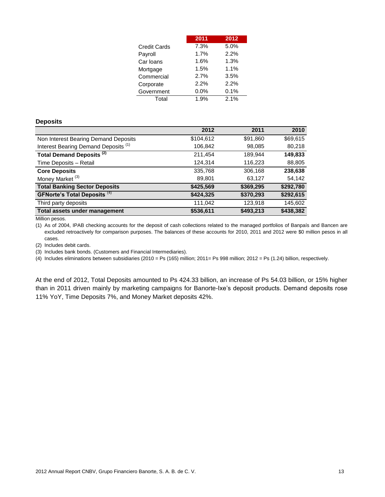|                     | 2011 | 2012 |
|---------------------|------|------|
| <b>Credit Cards</b> | 7.3% | 5.0% |
| Payroll             | 1.7% | 2.2% |
| Car Ioans           | 1.6% | 1.3% |
| Mortgage            | 1.5% | 1.1% |
| Commercial          | 2.7% | 3.5% |
| Corporate           | 2.2% | 2.2% |
| Government          | 0.0% | 0.1% |
| Total               | 1.9% | 2.1% |

### **Deposits**

|                                                 | 2012      | 2011      | 2010      |
|-------------------------------------------------|-----------|-----------|-----------|
| Non Interest Bearing Demand Deposits            | \$104,612 | \$91,860  | \$69,615  |
| Interest Bearing Demand Deposits <sup>(1)</sup> | 106,842   | 98,085    | 80,218    |
| Total Demand Deposits <sup>(2)</sup>            | 211,454   | 189,944   | 149,833   |
| Time Deposits - Retail                          | 124,314   | 116,223   | 88,805    |
| <b>Core Deposits</b>                            | 335,768   | 306,168   | 238,638   |
| Money Market <sup>(3)</sup>                     | 89,801    | 63,127    | 54,142    |
| <b>Total Banking Sector Deposits</b>            | \$425,569 | \$369,295 | \$292,780 |
| <b>GFNorte's Total Deposits (4)</b>             | \$424,325 | \$370,293 | \$292,615 |
| Third party deposits                            | 111,042   | 123,918   | 145,602   |
| Total assets under management                   | \$536,611 | \$493,213 | \$438.382 |

Million pesos.

(1) As of 2004, IPAB checking accounts for the deposit of cash collections related to the managed portfolios of Banpaís and Bancen are excluded retroactively for comparison purposes. The balances of these accounts for 2010, 2011 and 2012 were \$0 million pesos in all cases.

(2) Includes debit cards.

(3) Includes bank bonds. (Customers and Financial Intermediaries).

(4) Includes eliminations between subsidiaries (2010 = Ps (165) million; 2011= Ps 998 million; 2012 = Ps (1.24) billion, respectively.

At the end of 2012, Total Deposits amounted to Ps 424.33 billion, an increase of Ps 54.03 billion, or 15% higher than in 2011 driven mainly by marketing campaigns for Banorte-Ixe's deposit products. Demand deposits rose 11% YoY, Time Deposits 7%, and Money Market deposits 42%.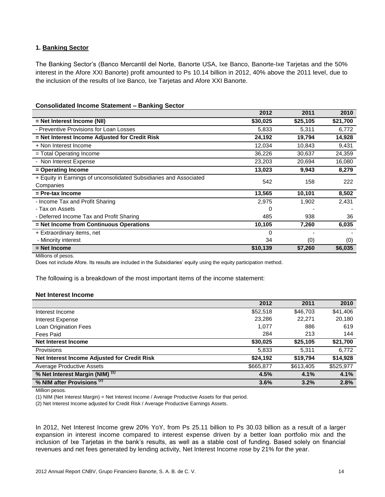### **1. Banking Sector**

The Banking Sector's (Banco Mercantil del Norte, Banorte USA, Ixe Banco, Banorte-Ixe Tarjetas and the 50% interest in the Afore XXI Banorte) profit amounted to Ps 10.14 billion in 2012, 40% above the 2011 level, due to the inclusion of the results of Ixe Banco, Ixe Tarjetas and Afore XXI Banorte.

|                                                                    | 2012     | 2011     | 2010     |
|--------------------------------------------------------------------|----------|----------|----------|
| $=$ Net Interest Income (NII)                                      | \$30,025 | \$25,105 | \$21,700 |
| - Preventive Provisions for Loan Losses                            | 5,833    | 5,311    | 6,772    |
| = Net Interest Income Adjusted for Credit Risk                     | 24,192   | 19,794   | 14,928   |
| + Non Interest Income                                              | 12,034   | 10,843   | 9,431    |
| $=$ Total Operating Income                                         | 36,226   | 30,637   | 24,359   |
| - Non Interest Expense                                             | 23,203   | 20,694   | 16,080   |
| = Operating Income                                                 | 13,023   | 9,943    | 8,279    |
| + Equity in Earnings of unconsolidated Subsidiaries and Associated | 542      | 158      | 222      |
| Companies                                                          |          |          |          |
| $=$ Pre-tax Income                                                 | 13,565   | 10,101   | 8,502    |
| - Income Tax and Profit Sharing                                    | 2,975    | 1,902    | 2,431    |
| - Tax on Assets                                                    | 0        |          |          |
| - Deferred Income Tax and Profit Sharing                           | 485      | 938      | 36       |
| = Net Income from Continuous Operations                            | 10,105   | 7,260    | 6,035    |
| + Extraordinary items, net                                         | $\Omega$ |          |          |
| - Minority interest                                                | 34       | (0)      | (0)      |
| $=$ Net Income                                                     | \$10,139 | \$7,260  | \$6,035  |

### **Consolidated Income Statement – Banking Sector**

Millions of pesos.

Does not include Afore. Its results are included in the Subsidiaries' equity using the equity participation method.

The following is a breakdown of the most important items of the income statement:

### **Net Interest Income**

|                                              | 2012      | 2011      | 2010      |
|----------------------------------------------|-----------|-----------|-----------|
| Interest Income                              | \$52,518  | \$46,703  | \$41,406  |
| Interest Expense                             | 23.286    | 22.271    | 20,180    |
| Loan Origination Fees                        | 1,077     | 886       | 619       |
| Fees Paid                                    | 284       | 213       | 144       |
| <b>Net Interest Income</b>                   | \$30,025  | \$25,105  | \$21,700  |
| Provisions                                   | 5,833     | 5,311     | 6,772     |
| Net Interest Income Adjusted for Credit Risk | \$24,192  | \$19,794  | \$14,928  |
| <b>Average Productive Assets</b>             | \$665,877 | \$613,405 | \$525,977 |
| % Net Interest Margin (NIM) <sup>(1)</sup>   | 4.5%      | 4.1%      | 4.1%      |
| % NIM after Provisions <sup>(2)</sup>        | 3.6%      | 3.2%      | 2.8%      |

Million pesos.

(1) NIM (Net Interest Margin) = Net Interest Income / Average Productive Assets for that period.

(2) Net Interest Income adjusted for Credit Risk / Average Productive Earnings Assets.

In 2012, Net Interest Income grew 20% YoY, from Ps 25.11 billion to Ps 30.03 billion as a result of a larger expansion in interest income compared to interest expense driven by a better loan portfolio mix and the inclusion of Ixe Tarjetas in the bank's results, as well as a stable cost of funding. Based solely on financial revenues and net fees generated by lending activity, Net Interest Income rose by 21% for the year.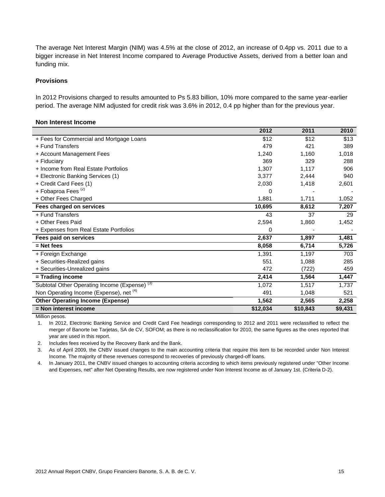The average Net Interest Margin (NIM) was 4.5% at the close of 2012, an increase of 0.4pp vs. 2011 due to a bigger increase in Net Interest Income compared to Average Productive Assets, derived from a better loan and funding mix.

### **Provisions**

In 2012 Provisions charged to results amounted to Ps 5.83 billion, 10% more compared to the same year-earlier period. The average NIM adjusted for credit risk was 3.6% in 2012, 0.4 pp higher than for the previous year.

### **Non Interest Income**

|                                                          | 2012     | 2011     | 2010    |
|----------------------------------------------------------|----------|----------|---------|
| + Fees for Commercial and Mortgage Loans                 | \$12     | \$12     | \$13    |
| + Fund Transfers                                         | 479      | 421      | 389     |
| + Account Management Fees                                | 1,240    | 1,160    | 1,018   |
| + Fiduciary                                              | 369      | 329      | 288     |
| + Income from Real Estate Portfolios                     | 1,307    | 1,117    | 906     |
| + Electronic Banking Services (1)                        | 3,377    | 2,444    | 940     |
| + Credit Card Fees (1)                                   | 2,030    | 1,418    | 2,601   |
| + Fobaproa Fees <sup>(2)</sup>                           | 0        |          |         |
| + Other Fees Charged                                     | 1,881    | 1,711    | 1,052   |
| Fees charged on services                                 | 10,695   | 8,612    | 7,207   |
| + Fund Transfers                                         | 43       | 37       | 29      |
| + Other Fees Paid                                        | 2,594    | 1,860    | 1,452   |
| + Expenses from Real Estate Portfolios                   | $\Omega$ |          |         |
| Fees paid on services                                    | 2,637    | 1,897    | 1,481   |
| $=$ Net fees                                             | 8,058    | 6,714    | 5,726   |
| + Foreign Exchange                                       | 1,391    | 1,197    | 703     |
| + Securities-Realized gains                              | 551      | 1,088    | 285     |
| + Securities-Unrealized gains                            | 472      | (722)    | 459     |
| = Trading income                                         | 2,414    | 1,564    | 1,447   |
| Subtotal Other Operating Income (Expense) <sup>(3)</sup> | 1,072    | 1,517    | 1,737   |
| Non Operating Income (Expense), net (4)                  | 491      | 1,048    | 521     |
| <b>Other Operating Income (Expense)</b>                  | 1,562    | 2,565    | 2,258   |
| = Non interest income                                    | \$12,034 | \$10,843 | \$9,431 |

Million pesos.

1. In 2012, Electronic Banking Service and Credit Card Fee headings corresponding to 2012 and 2011 were reclassified to reflect the merger of Banorte Ixe Tarjetas, SA de CV, SOFOM; as there is no reclassification for 2010, the same figures as the ones reported that year are used in this report.

2. Includes fees received by the Recovery Bank and the Bank.

3. As of April 2009, the CNBV issued changes to the main accounting criteria that require this item to be recorded under Non Interest Income. The majority of these revenues correspond to recoveries of previously charged-off loans.

4. In January 2011, the CNBV issued changes to accounting criteria according to which items previously registered under "Other Income and Expenses, net" after Net Operating Results, are now registered under Non Interest Income as of January 1st. (Criteria D-2).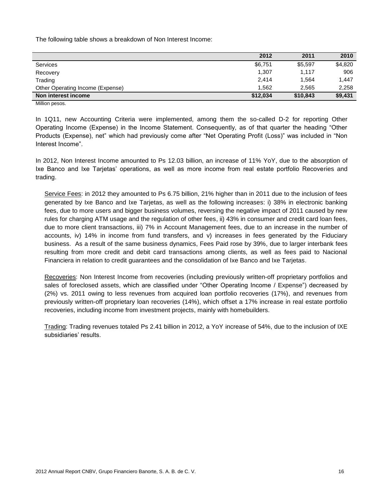The following table shows a breakdown of Non Interest Income:

|                                  | 2012     | 2011     | 2010    |
|----------------------------------|----------|----------|---------|
| Services                         | \$6,751  | \$5,597  | \$4,820 |
| Recovery                         | 1,307    | 1,117    | 906     |
| Trading                          | 2,414    | 1,564    | 1,447   |
| Other Operating Income (Expense) | 1.562    | 2.565    | 2.258   |
| Non interest income              | \$12,034 | \$10,843 | \$9,431 |

Million pesos.

In 1Q11, new Accounting Criteria were implemented, among them the so-called D-2 for reporting Other Operating Income (Expense) in the Income Statement. Consequently, as of that quarter the heading "Other Products (Expense), net" which had previously come after "Net Operating Profit (Loss)" was included in "Non Interest Income".

In 2012, Non Interest Income amounted to Ps 12.03 billion, an increase of 11% YoY, due to the absorption of Ixe Banco and Ixe Tarjetas' operations, as well as more income from real estate portfolio Recoveries and trading.

Service Fees: in 2012 they amounted to Ps 6.75 billion, 21% higher than in 2011 due to the inclusion of fees generated by Ixe Banco and Ixe Tarjetas, as well as the following increases: i) 38% in electronic banking fees, due to more users and bigger business volumes, reversing the negative impact of 2011 caused by new rules for charging ATM usage and the regulation of other fees, ii) 43% in consumer and credit card loan fees, due to more client transactions, iii) 7% in Account Management fees, due to an increase in the number of accounts, iv) 14% in income from fund transfers, and v) increases in fees generated by the Fiduciary business. As a result of the same business dynamics, Fees Paid rose by 39%, due to larger interbank fees resulting from more credit and debit card transactions among clients, as well as fees paid to Nacional Financiera in relation to credit guarantees and the consolidation of Ixe Banco and Ixe Tarjetas.

Recoveries: Non Interest Income from recoveries (including previously written-off proprietary portfolios and sales of foreclosed assets, which are classified under "Other Operating Income / Expense") decreased by (2%) vs. 2011 owing to less revenues from acquired loan portfolio recoveries (17%), and revenues from previously written-off proprietary loan recoveries (14%), which offset a 17% increase in real estate portfolio recoveries, including income from investment projects, mainly with homebuilders.

Trading: Trading revenues totaled Ps 2.41 billion in 2012, a YoY increase of 54%, due to the inclusion of IXE subsidiaries' results.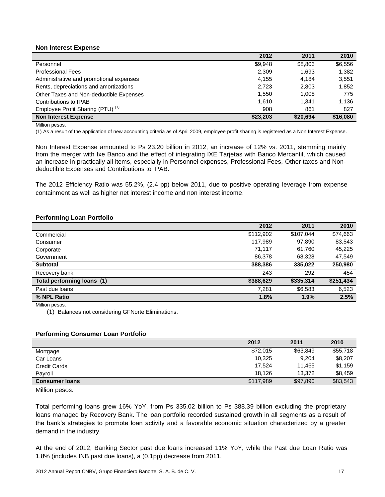### **Non Interest Expense**

|                                              | 2012     | 2011     | 2010     |
|----------------------------------------------|----------|----------|----------|
| Personnel                                    | \$9.948  | \$8,803  | \$6,556  |
| <b>Professional Fees</b>                     | 2,309    | 1,693    | 1,382    |
| Administrative and promotional expenses      | 4.155    | 4.184    | 3,551    |
| Rents, depreciations and amortizations       | 2,723    | 2,803    | 1,852    |
| Other Taxes and Non-deductible Expenses      | 1,550    | 1,008    | 775      |
| Contributions to IPAB                        | 1,610    | 1.341    | 1,136    |
| Employee Profit Sharing (PTU) <sup>(1)</sup> | 908      | 861      | 827      |
| <b>Non Interest Expense</b>                  | \$23,203 | \$20.694 | \$16,080 |

Million pesos.

(1) As a result of the application of new accounting criteria as of April 2009, employee profit sharing is registered as a Non Interest Expense.

Non Interest Expense amounted to Ps 23.20 billion in 2012, an increase of 12% vs. 2011, stemming mainly from the merger with Ixe Banco and the effect of integrating IXE Tarjetas with Banco Mercantil, which caused an increase in practically all items, especially in Personnel expenses, Professional Fees, Other taxes and Nondeductible Expenses and Contributions to IPAB.

The 2012 Efficiency Ratio was 55.2%, (2.4 pp) below 2011, due to positive operating leverage from expense containment as well as higher net interest income and non interest income.

### **Performing Loan Portfolio**

|                            | 2012      | 2011      | 2010      |
|----------------------------|-----------|-----------|-----------|
| Commercial                 | \$112,902 | \$107,044 | \$74,663  |
| Consumer                   | 117,989   | 97,890    | 83,543    |
| Corporate                  | 71,117    | 61,760    | 45,225    |
| Government                 | 86.378    | 68,328    | 47,549    |
| <b>Subtotal</b>            | 388,386   | 335,022   | 250,980   |
| Recovery bank              | 243       | 292       | 454       |
| Total performing loans (1) | \$388,629 | \$335,314 | \$251,434 |
| Past due loans             | 7,281     | \$6,583   | 6,523     |
| % NPL Ratio                | 1.8%      | 1.9%      | 2.5%      |

Million pesos.

(1) Balances not considering GFNorte Eliminations.

### **Performing Consumer Loan Portfolio**

|                       | 2012      | 2011     | 2010     |
|-----------------------|-----------|----------|----------|
| Mortgage              | \$72,015  | \$63,849 | \$55,718 |
| Car Loans             | 10.325    | 9.204    | \$8,207  |
| <b>Credit Cards</b>   | 17.524    | 11.465   | \$1,159  |
| Payroll               | 18.126    | 13.372   | \$8,459  |
| <b>Consumer loans</b> | \$117,989 | \$97,890 | \$83,543 |

Million pesos.

Total performing loans grew 16% YoY, from Ps 335.02 billion to Ps 388.39 billion excluding the proprietary loans managed by Recovery Bank. The loan portfolio recorded sustained growth in all segments as a result of the bank's strategies to promote loan activity and a favorable economic situation characterized by a greater demand in the industry.

At the end of 2012, Banking Sector past due loans increased 11% YoY, while the Past due Loan Ratio was 1.8% (includes INB past due loans), a (0.1pp) decrease from 2011.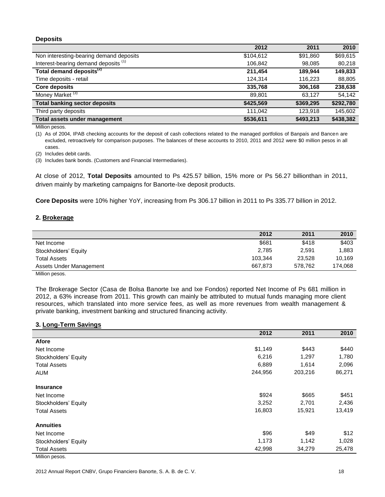### **Deposits**

|                                                 | 2012      | 2011      | 2010      |
|-------------------------------------------------|-----------|-----------|-----------|
| Non interesting-bearing demand deposits         | \$104,612 | \$91,860  | \$69,615  |
| Interest-bearing demand deposits <sup>(1)</sup> | 106,842   | 98,085    | 80,218    |
| Total demand deposits <sup>(2)</sup>            | 211.454   | 189.944   | 149,833   |
| Time deposits - retail                          | 124,314   | 116,223   | 88,805    |
| Core deposits                                   | 335,768   | 306,168   | 238,638   |
| Money Market <sup>(3)</sup>                     | 89,801    | 63.127    | 54,142    |
| <b>Total banking sector deposits</b>            | \$425,569 | \$369,295 | \$292,780 |
| Third party deposits                            | 111.042   | 123.918   | 145,602   |
| Total assets under management                   | \$536,611 | \$493,213 | \$438,382 |

Million pesos.

(1) As of 2004, IPAB checking accounts for the deposit of cash collections related to the managed portfolios of Banpaís and Bancen are excluded, retroactively for comparison purposes. The balances of these accounts to 2010, 2011 and 2012 were \$0 million pesos in all cases.

(2) Includes debit cards.

(3) Includes bank bonds. (Customers and Financial Intermediaries).

At close of 2012, **Total Deposits** amounted to Ps 425.57 billion, 15% more or Ps 56.27 billionthan in 2011, driven mainly by marketing campaigns for Banorte-Ixe deposit products.

**Core Deposits** were 10% higher YoY, increasing from Ps 306.17 billion in 2011 to Ps 335.77 billion in 2012.

### **2. Brokerage**

|                         | 2012    | 2011    | 2010    |
|-------------------------|---------|---------|---------|
| Net Income              | \$681   | \$418   | \$403   |
| Stockholders' Equity    | 2.785   | 2.591   | 1,883   |
| <b>Total Assets</b>     | 103.344 | 23.528  | 10.169  |
| Assets Under Management | 667.873 | 578.762 | 174.068 |
| M(0)                    |         |         |         |

Million pesos.

The Brokerage Sector (Casa de Bolsa Banorte Ixe and Ixe Fondos) reported Net Income of Ps 681 million in 2012, a 63% increase from 2011. This growth can mainly be attributed to mutual funds managing more client resources, which translated into more service fees, as well as more revenues from wealth management & private banking, investment banking and structured financing activity.

### **3. Long-Term Savings**

|                      | 2012    | 2011    | 2010   |
|----------------------|---------|---------|--------|
| <b>Afore</b>         |         |         |        |
| Net Income           | \$1,149 | \$443   | \$440  |
| Stockholders' Equity | 6,216   | 1,297   | 1,780  |
| <b>Total Assets</b>  | 6,889   | 1,614   | 2,096  |
| <b>AUM</b>           | 244,956 | 203,216 | 86,271 |
| <b>Insurance</b>     |         |         |        |
| Net Income           | \$924   | \$665   | \$451  |
| Stockholders' Equity | 3,252   | 2,701   | 2,436  |
| <b>Total Assets</b>  | 16,803  | 15,921  | 13,419 |
| <b>Annuities</b>     |         |         |        |
| Net Income           | \$96    | \$49    | \$12   |
| Stockholders' Equity | 1,173   | 1,142   | 1,028  |
| <b>Total Assets</b>  | 42,998  | 34,279  | 25,478 |

Million pesos.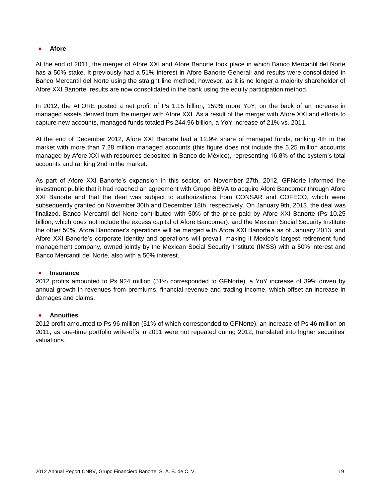### **Afore**

At the end of 2011, the merger of Afore XXI and Afore Banorte took place in which Banco Mercantil del Norte has a 50% stake. It previously had a 51% interest in Afore Banorte Generali and results were consolidated in Banco Mercantil del Norte using the straight line method; however, as it is no longer a majority shareholder of Afore XXI Banorte, results are now consolidated in the bank using the equity participation method.

In 2012, the AFORE posted a net profit of Ps 1.15 billion, 159% more YoY, on the back of an increase in managed assets derived from the merger with Afore XXI. As a result of the merger with Afore XXI and efforts to capture new accounts, managed funds totaled Ps 244.96 billion, a YoY increase of 21% vs. 2011.

At the end of December 2012, Afore XXI Banorte had a 12.9% share of managed funds, ranking 4th in the market with more than 7.28 million managed accounts (this figure does not include the 5.25 million accounts managed by Afore XXI with resources deposited in Banco de México), representing 16.8% of the system's total accounts and ranking 2nd in the market.

As part of Afore XXI Banorte's expansion in this sector, on November 27th, 2012, GFNorte informed the investment public that it had reached an agreement with Grupo BBVA to acquire Afore Bancomer through Afore XXI Banorte and that the deal was subject to authorizations from CONSAR and COFECO, which were subsequently granted on November 30th and December 18th, respectively. On January 9th, 2013, the deal was finalized. Banco Mercantil del Norte contributed with 50% of the price paid by Afore XXI Banorte (Ps 10.25 billion, which does not include the excess capital of Afore Bancomer), and the Mexican Social Security Institute the other 50%. Afore Bancomer's operations will be merged with Afore XXI Banorte's as of January 2013, and Afore XXI Banorte's corporate identity and operations will prevail, making it Mexico's largest retirement fund management company, owned jointly by the Mexican Social Security Institute (IMSS) with a 50% interest and Banco Mercantil del Norte, also with a 50% interest.

### **Insurance**

2012 profits amounted to Ps 924 million (51% corresponded to GFNorte), a YoY increase of 39% driven by annual growth in revenues from premiums, financial revenue and trading income, which offset an increase in damages and claims.

### **•** Annuities

2012 profit amounted to Ps 96 million (51% of which corresponded to GFNorte), an increase of Ps 46 million on 2011, as one-time portfolio write-offs in 2011 were not repeated during 2012, translated into higher securities' valuations.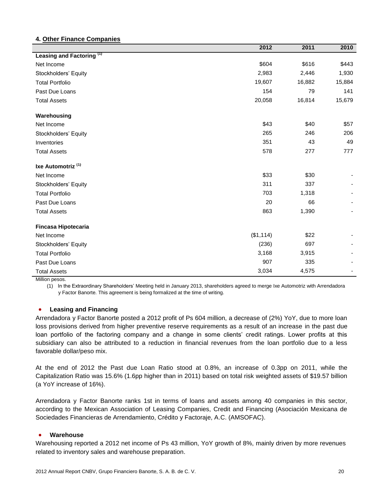### **4. Other Finance Companies**

|                                      | 2012      | 2011   | 2010   |
|--------------------------------------|-----------|--------|--------|
| Leasing and Factoring <sup>(1)</sup> |           |        |        |
| Net Income                           | \$604     | \$616  | \$443  |
| Stockholders' Equity                 | 2,983     | 2,446  | 1,930  |
| <b>Total Portfolio</b>               | 19,607    | 16,882 | 15,884 |
| Past Due Loans                       | 154       | 79     | 141    |
| <b>Total Assets</b>                  | 20,058    | 16,814 | 15,679 |
| Warehousing                          |           |        |        |
| Net Income                           | \$43      | \$40   | \$57   |
| Stockholders' Equity                 | 265       | 246    | 206    |
| Inventories                          | 351       | 43     | 49     |
| <b>Total Assets</b>                  | 578       | 277    | 777    |
| Ixe Automotriz <sup>(1)</sup>        |           |        |        |
| Net Income                           | \$33      | \$30   |        |
| Stockholders' Equity                 | 311       | 337    |        |
| <b>Total Portfolio</b>               | 703       | 1,318  |        |
| Past Due Loans                       | 20        | 66     |        |
| <b>Total Assets</b>                  | 863       | 1,390  |        |
| <b>Fincasa Hipotecaria</b>           |           |        |        |
| Net Income                           | (\$1,114) | \$22   |        |
| Stockholders' Equity                 | (236)     | 697    |        |
| <b>Total Portfolio</b>               | 3,168     | 3,915  |        |
| Past Due Loans                       | 907       | 335    |        |
| <b>Total Assets</b>                  | 3,034     | 4,575  |        |

Million pesos.

(1) In the Extraordinary Shareholders' Meeting held in January 2013, shareholders agreed to merge Ixe Automotriz with Arrendadora y Factor Banorte. This agreement is being formalized at the time of writing.

### **Leasing and Financing**

Arrendadora y Factor Banorte posted a 2012 profit of Ps 604 million, a decrease of (2%) YoY, due to more loan loss provisions derived from higher preventive reserve requirements as a result of an increase in the past due loan portfolio of the factoring company and a change in some clients' credit ratings. Lower profits at this subsidiary can also be attributed to a reduction in financial revenues from the loan portfolio due to a less favorable dollar/peso mix.

At the end of 2012 the Past due Loan Ratio stood at 0.8%, an increase of 0.3pp on 2011, while the Capitalization Ratio was 15.6% (1.6pp higher than in 2011) based on total risk weighted assets of \$19.57 billion (a YoY increase of 16%).

Arrendadora y Factor Banorte ranks 1st in terms of loans and assets among 40 companies in this sector, according to the Mexican Association of Leasing Companies, Credit and Financing (Asociación Mexicana de Sociedades Financieras de Arrendamiento, Crédito y Factoraje, A.C. (AMSOFAC).

### **Warehouse**

Warehousing reported a 2012 net income of Ps 43 million, YoY growth of 8%, mainly driven by more revenues related to inventory sales and warehouse preparation.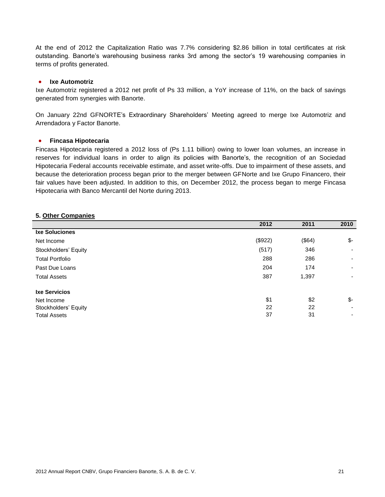At the end of 2012 the Capitalization Ratio was 7.7% considering \$2.86 billion in total certificates at risk outstanding. Banorte's warehousing business ranks 3rd among the sector's 19 warehousing companies in terms of profits generated.

### **Ixe Automotriz**

Ixe Automotriz registered a 2012 net profit of Ps 33 million, a YoY increase of 11%, on the back of savings generated from synergies with Banorte.

On January 22nd GFNORTE's Extraordinary Shareholders' Meeting agreed to merge Ixe Automotriz and Arrendadora y Factor Banorte.

### **Fincasa Hipotecaria**

Fincasa Hipotecaria registered a 2012 loss of (Ps 1.11 billion) owing to lower loan volumes, an increase in reserves for individual loans in order to align its policies with Banorte's, the recognition of an Sociedad Hipotecaria Federal accounts receivable estimate, and asset write-offs. Due to impairment of these assets, and because the deterioration process began prior to the merger between GFNorte and Ixe Grupo Financero, their fair values have been adjusted. In addition to this, on December 2012, the process began to merge Fincasa Hipotecaria with Banco Mercantil del Norte during 2013.

### **5. Other Companies**

|                        | 2012    | 2011   | 2010          |
|------------------------|---------|--------|---------------|
| <b>Ixe Soluciones</b>  |         |        |               |
| Net Income             | (\$922) | (\$64) | $\frac{2}{3}$ |
| Stockholders' Equity   | (517)   | 346    | ٠             |
| <b>Total Portfolio</b> | 288     | 286    | ٠             |
| Past Due Loans         | 204     | 174    | ۰             |
| <b>Total Assets</b>    | 387     | 1,397  | ۰             |
| <b>Ixe Servicios</b>   |         |        |               |
| Net Income             | \$1     | \$2    | \$-           |
| Stockholders' Equity   | 22      | 22     | ٠             |
| <b>Total Assets</b>    | 37      | 31     | ۰             |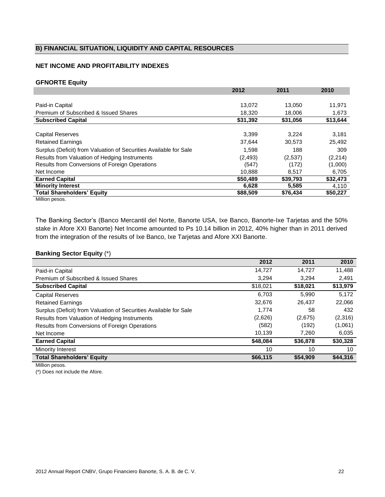### **B) FINANCIAL SITUATION, LIQUIDITY AND CAPITAL RESOURCES**

### **NET INCOME AND PROFITABILITY INDEXES**

### **GFNORTE Equity**

|                                                                   | 2012     | 2011     | 2010     |
|-------------------------------------------------------------------|----------|----------|----------|
|                                                                   |          |          |          |
| Paid-in Capital                                                   | 13,072   | 13,050   | 11,971   |
| Premium of Subscribed & Issued Shares                             | 18,320   | 18,006   | 1,673    |
| <b>Subscribed Capital</b>                                         | \$31,392 | \$31,056 | \$13,644 |
|                                                                   |          |          |          |
| <b>Capital Reserves</b>                                           | 3,399    | 3.224    | 3,181    |
| <b>Retained Earnings</b>                                          | 37.644   | 30.573   | 25,492   |
| Surplus (Deficit) from Valuation of Securities Available for Sale | 1,598    | 188      | 309      |
| Results from Valuation of Hedging Instruments                     | (2, 493) | (2,537)  | (2,214)  |
| Results from Conversions of Foreign Operations                    | (547)    | (172)    | (1,000)  |
| Net Income                                                        | 10,888   | 8,517    | 6,705    |
| <b>Earned Capital</b>                                             | \$50,489 | \$39.793 | \$32,473 |
| <b>Minority Interest</b>                                          | 6,628    | 5,585    | 4,110    |
| <b>Total Shareholders' Equity</b>                                 | \$88,509 | \$76,434 | \$50,227 |
|                                                                   |          |          |          |

Million pesos.

The Banking Sector's (Banco Mercantil del Norte, Banorte USA, Ixe Banco, Banorte-Ixe Tarjetas and the 50% stake in Afore XXI Banorte) Net Income amounted to Ps 10.14 billion in 2012, 40% higher than in 2011 derived from the integration of the results of Ixe Banco, Ixe Tarjetas and Afore XXI Banorte.

### **Banking Sector Equity** (\*)

|                                                                   | 2012     | 2011     | 2010     |
|-------------------------------------------------------------------|----------|----------|----------|
| Paid-in Capital                                                   | 14,727   | 14,727   | 11,488   |
| Premium of Subscribed & Issued Shares                             | 3.294    | 3.294    | 2,491    |
| <b>Subscribed Capital</b>                                         | \$18,021 | \$18,021 | \$13,979 |
| <b>Capital Reserves</b>                                           | 6.703    | 5.990    | 5,172    |
| <b>Retained Earnings</b>                                          | 32,676   | 26,437   | 22,066   |
| Surplus (Deficit) from Valuation of Securities Available for Sale | 1.774    | 58       | 432      |
| Results from Valuation of Hedging Instruments                     | (2,626)  | (2,675)  | (2,316)  |
| <b>Results from Conversions of Foreign Operations</b>             | (582)    | (192)    | (1,061)  |
| Net Income                                                        | 10,139   | 7.260    | 6,035    |
| <b>Earned Capital</b>                                             | \$48,084 | \$36,878 | \$30,328 |
| <b>Minority Interest</b>                                          | 10       | 10       | 10       |
| <b>Total Shareholders' Equity</b>                                 | \$66,115 | \$54.909 | \$44,316 |

Million pesos.

(\*) Does not include the Afore.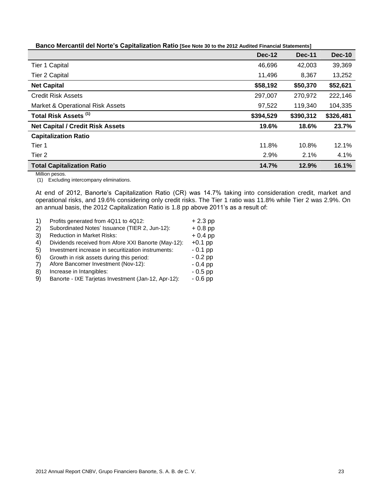|                                         | <b>Dec-12</b> | <b>Dec-11</b> | <b>Dec-10</b> |
|-----------------------------------------|---------------|---------------|---------------|
| <b>Tier 1 Capital</b>                   | 46,696        | 42,003        | 39,369        |
| Tier 2 Capital                          | 11,496        | 8,367         | 13,252        |
| <b>Net Capital</b>                      | \$58,192      | \$50,370      | \$52,621      |
| <b>Credit Risk Assets</b>               | 297,007       | 270,972       | 222,146       |
| Market & Operational Risk Assets        | 97,522        | 119,340       | 104,335       |
| Total Risk Assets <sup>(1)</sup>        | \$394,529     | \$390,312     | \$326,481     |
| <b>Net Capital / Credit Risk Assets</b> | 19.6%         | 18.6%         | 23.7%         |
| <b>Capitalization Ratio</b>             |               |               |               |
| Tier 1                                  | 11.8%         | 10.8%         | 12.1%         |
| Tier 2                                  | 2.9%          | 2.1%          | 4.1%          |
| <b>Total Capitalization Ratio</b>       | 14.7%         | 12.9%         | 16.1%         |

Million pesos.

(1) Excluding intercompany eliminations.

At end of 2012, Banorte's Capitalization Ratio (CR) was 14.7% taking into consideration credit, market and operational risks, and 19.6% considering only credit risks. The Tier 1 ratio was 11.8% while Tier 2 was 2.9%. On an annual basis, the 2012 Capitalization Ratio is 1.8 pp above 2011's as a result of:

| 1)<br>$\mathbf{2}$<br>3)<br>4)<br>5)<br>6)<br>7)<br>8) | Profits generated from 4Q11 to 4Q12:<br>Subordinated Notes' Issuance (TIER 2, Jun-12):<br><b>Reduction in Market Risks:</b><br>Dividends received from Afore XXI Banorte (May-12):<br>Investment increase in securitization instruments:<br>Growth in risk assets during this period:<br>Afore Bancomer Investment (Nov-12):<br>Increase in Intangibles: | $+2.3$ pp<br>$+0.8$ pp<br>$+0.4$ pp<br>$+0.1$ pp<br>$-0.1$ pp<br>$-0.2$ pp<br>$-0.4$ pp<br>$-0.5$ pp |
|--------------------------------------------------------|----------------------------------------------------------------------------------------------------------------------------------------------------------------------------------------------------------------------------------------------------------------------------------------------------------------------------------------------------------|------------------------------------------------------------------------------------------------------|
| 9)                                                     | Banorte - IXE Tarjetas Investment (Jan-12, Apr-12):                                                                                                                                                                                                                                                                                                      | $-0.6$ pp                                                                                            |
|                                                        |                                                                                                                                                                                                                                                                                                                                                          |                                                                                                      |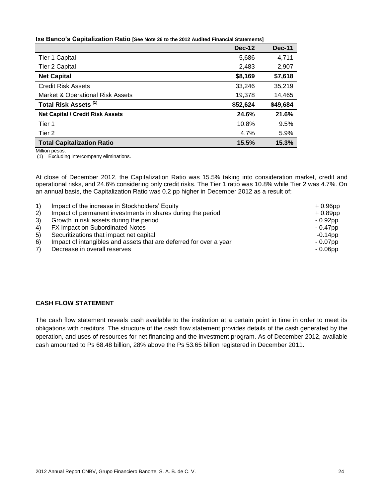|  | Ixe Banco's Capitalization Ratio [See Note 26 to the 2012 Audited Financial Statements] |
|--|-----------------------------------------------------------------------------------------|
|--|-----------------------------------------------------------------------------------------|

|                                         | <b>Dec-12</b> | <b>Dec-11</b> |
|-----------------------------------------|---------------|---------------|
| <b>Tier 1 Capital</b>                   | 5,686         | 4,711         |
| <b>Tier 2 Capital</b>                   | 2,483         | 2,907         |
| <b>Net Capital</b>                      | \$8,169       | \$7,618       |
| <b>Credit Risk Assets</b>               | 33,246        | 35,219        |
| Market & Operational Risk Assets        | 19,378        | 14,465        |
| Total Risk Assets <sup>(1)</sup>        | \$52,624      | \$49,684      |
| <b>Net Capital / Credit Risk Assets</b> | 24.6%         | 21.6%         |
| Tier 1                                  | 10.8%         | 9.5%          |
| Tier 2                                  | 4.7%          | 5.9%          |
| <b>Total Capitalization Ratio</b>       | 15.5%         | 15.3%         |

Million pesos.

(1) Excluding intercompany eliminations.

At close of December 2012, the Capitalization Ratio was 15.5% taking into consideration market, credit and operational risks, and 24.6% considering only credit risks. The Tier 1 ratio was 10.8% while Tier 2 was 4.7%. On an annual basis, the Capitalization Ratio was 0.2 pp higher in December 2012 as a result of:

| 1) | Impact of the increase in Stockholders' Equity                     | $+0.96$ pp |
|----|--------------------------------------------------------------------|------------|
| 2) | Impact of permanent investments in shares during the period        | $+0.89$ pp |
| 3) | Growth in risk assets during the period                            | $-0.92$ pp |
| 4) | FX impact on Subordinated Notes                                    | $-0.47$ pp |
| 5) | Securitizations that impact net capital                            | $-0.14$ pp |
| 6) | Impact of intangibles and assets that are deferred for over a year | $-0.07$ pp |
| 7) | Decrease in overall reserves                                       | $-0.06$ pp |

### **CASH FLOW STATEMENT**

The cash flow statement reveals cash available to the institution at a certain point in time in order to meet its obligations with creditors. The structure of the cash flow statement provides details of the cash generated by the operation, and uses of resources for net financing and the investment program. As of December 2012, available cash amounted to Ps 68.48 billion, 28% above the Ps 53.65 billion registered in December 2011.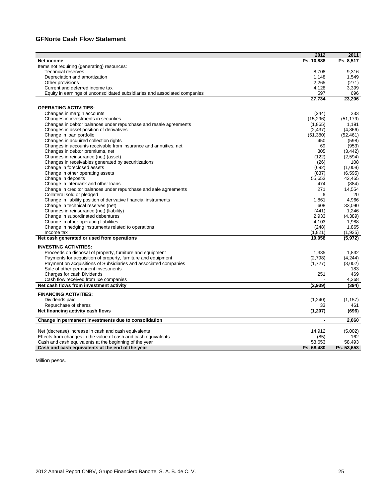### **GFNorte Cash Flow Statement**

|                                                                            | 2012           | 2011       |
|----------------------------------------------------------------------------|----------------|------------|
| Net income                                                                 | Ps. 10,888     | Ps. 8,517  |
| Items not requiring (generating) resources:                                |                |            |
| <b>Technical reserves</b>                                                  | 8,708          | 9.316      |
| Depreciation and amortization                                              | 1,148          | 1,549      |
| Other provisions                                                           | 2,265          | (271)      |
| Current and deferred income tax                                            | 4,128          | 3,399      |
| Equity in earnings of unconsolidated subsidiaries and associated companies | 597            | 696        |
|                                                                            | 27,734         | 23,206     |
| <b>OPERATING ACTIVITIES:</b>                                               |                |            |
| Changes in margin accounts                                                 | (244)          | 233        |
| Changes in investments in securities                                       | (15, 296)      | (51, 179)  |
| Changes in debtor balances under repurchase and resale agreements          | (1,865)        | 1,191      |
| Changes in asset position of derivatives                                   | (2, 437)       | (4,866)    |
| Change in loan portfolio                                                   | (51, 380)      | (52, 461)  |
| Changes in acquired collection rights                                      | 450            | (598)      |
| Changes in accounts receivable from insurance and annuities, net           | 69             | (953)      |
| Changes in debtor premiums, net                                            | 305            | (3, 442)   |
| Changes in reinsurance (net) (asset)                                       | (122)          | (2,594)    |
| Changes in receivables generated by securitizations                        | (26)           | 108        |
| Change in foreclosed assets                                                | (692)          | (1,008)    |
| Change in other operating assets                                           | (837)          | (6, 595)   |
| Change in deposits                                                         | 55,653         | 42,465     |
| Change in interbank and other loans                                        | 474            | (884)      |
| Change in creditor balances under repurchase and sale agreements           | 271            | 14,554     |
| Collateral sold or pledged                                                 | 6              | 20         |
| Change in liability position of derivative financial instruments           | 1,861          | 4,966      |
| Change in technical reserves (net)                                         | 608            | 33,090     |
| Changes in reinsurance (net) (liability)                                   | (441)          | 1,246      |
| Change in subordinated debentures                                          | 2,933          | (4,389)    |
| Change in other operating liabilities                                      | 4,103          | 1,988      |
| Change in hedging instruments related to operations                        | (248)          | 1,865      |
| Income tax                                                                 | (1,821)        | (1,935)    |
| Net cash generated or used from operations                                 | 19,058         | (5, 972)   |
|                                                                            |                |            |
| <b>INVESTING ACTIVITIES:</b>                                               |                |            |
| Proceeds on disposal of property, furniture and equipment                  | 1,335          | 1.832      |
| Payments for acquisition of property, furniture and equipment              | (2,798)        | (4, 244)   |
| Payment on acquisitions of Subsidiaries and associated companies           | (1,727)        | (3,002)    |
| Sale of other permanent investments                                        |                | 183        |
| Charges for cash Dividends                                                 | 251            | 469        |
| Cash flow received from Ixe companies                                      |                | 4,368      |
| Net cash flows from investment activity                                    | (2,939)        | (394)      |
| <b>FINANCING ACTIVITIES:</b>                                               |                |            |
| Dividends paid                                                             | (1,240)        | (1, 157)   |
| Repurchase of shares                                                       | 33             | 461        |
| Net financing activity cash flows                                          | (1, 207)       | (696)      |
| Change in permanent investments due to consolidation                       | $\blacksquare$ | 2,060      |
|                                                                            |                |            |
| Net (decrease) increase in cash and cash equivalents                       | 14,912         | (5,002)    |
| Effects from changes in the value of cash and cash equivalents             | (85)           | 162        |
| Cash and cash equivalents at the beginning of the year                     | 53,653         | 58,493     |
| Cash and cash equivalents at the end of the year                           | Ps. 68,480     | Ps. 53,653 |

Million pesos.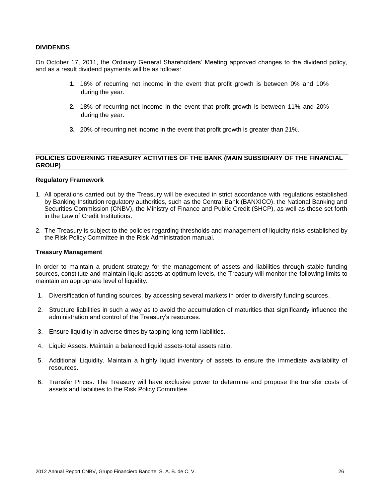### **DIVIDENDS**

On October 17, 2011, the Ordinary General Shareholders' Meeting approved changes to the dividend policy, and as a result dividend payments will be as follows:

- **1.** 16% of recurring net income in the event that profit growth is between 0% and 10% during the year.
- **2.** 18% of recurring net income in the event that profit growth is between 11% and 20% during the year.
- **3.** 20% of recurring net income in the event that profit growth is greater than 21%.

### **POLICIES GOVERNING TREASURY ACTIVITIES OF THE BANK (MAIN SUBSIDIARY OF THE FINANCIAL GROUP)**

### **Regulatory Framework**

- 1. All operations carried out by the Treasury will be executed in strict accordance with regulations established by Banking Institution regulatory authorities, such as the Central Bank (BANXICO), the National Banking and Securities Commission (CNBV), the Ministry of Finance and Public Credit (SHCP), as well as those set forth in the Law of Credit Institutions.
- 2. The Treasury is subject to the policies regarding thresholds and management of liquidity risks established by the Risk Policy Committee in the Risk Administration manual.

### **Treasury Management**

In order to maintain a prudent strategy for the management of assets and liabilities through stable funding sources, constitute and maintain liquid assets at optimum levels, the Treasury will monitor the following limits to maintain an appropriate level of liquidity:

- 1. Diversification of funding sources, by accessing several markets in order to diversify funding sources.
- 2. Structure liabilities in such a way as to avoid the accumulation of maturities that significantly influence the administration and control of the Treasury's resources.
- 3. Ensure liquidity in adverse times by tapping long-term liabilities.
- 4. Liquid Assets. Maintain a balanced liquid assets-total assets ratio.
- 5. Additional Liquidity. Maintain a highly liquid inventory of assets to ensure the immediate availability of resources.
- 6. Transfer Prices. The Treasury will have exclusive power to determine and propose the transfer costs of assets and liabilities to the Risk Policy Committee.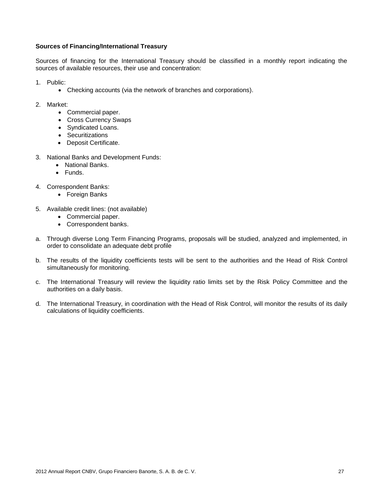### **Sources of Financing/International Treasury**

Sources of financing for the International Treasury should be classified in a monthly report indicating the sources of available resources, their use and concentration:

1. Public:

- Checking accounts (via the network of branches and corporations).
- 2. Market:
	- Commercial paper.
	- Cross Currency Swaps
	- Syndicated Loans.
	- Securitizations
	- Deposit Certificate.
- 3. National Banks and Development Funds:
	- National Banks.
	- Funds.
- 4. Correspondent Banks:
	- Foreign Banks
- 5. Available credit lines: (not available)
	- Commercial paper.
	- Correspondent banks.
- a. Through diverse Long Term Financing Programs, proposals will be studied, analyzed and implemented, in order to consolidate an adequate debt profile
- b. The results of the liquidity coefficients tests will be sent to the authorities and the Head of Risk Control simultaneously for monitoring.
- c. The International Treasury will review the liquidity ratio limits set by the Risk Policy Committee and the authorities on a daily basis.
- d. The International Treasury, in coordination with the Head of Risk Control, will monitor the results of its daily calculations of liquidity coefficients.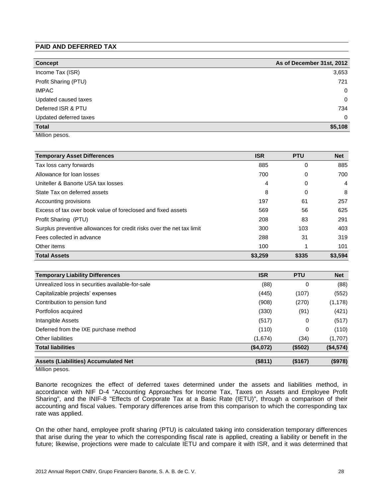### **PAID AND DEFERRED TAX**

| <b>Concept</b>         | As of December 31st, 2012 |
|------------------------|---------------------------|
| Income Tax (ISR)       | 3,653                     |
| Profit Sharing (PTU)   | 721                       |
| <b>IMPAC</b>           | 0                         |
| Updated caused taxes   | 0                         |
| Deferred ISR & PTU     | 734                       |
| Updated deferred taxes | $\Omega$                  |
| <b>Total</b>           | \$5,108                   |

Million pesos.

| <b>Temporary Asset Differences</b>                                    | <b>ISR</b> | <b>PTU</b> | <b>Net</b> |
|-----------------------------------------------------------------------|------------|------------|------------|
| Tax loss carry forwards                                               | 885        | 0          | 885        |
| Allowance for loan losses                                             | 700        | 0          | 700        |
| Uniteller & Banorte USA tax losses                                    | 4          | 0          | 4          |
| State Tax on deferred assets                                          | 8          | 0          | 8          |
| Accounting provisions                                                 | 197        | 61         | 257        |
| Excess of tax over book value of foreclosed and fixed assets          | 569        | 56         | 625        |
| Profit Sharing (PTU)                                                  | 208        | 83         | 291        |
| Surplus preventive allowances for credit risks over the net tax limit | 300        | 103        | 403        |
| Fees collected in advance                                             | 288        | 31         | 319        |
| Other items                                                           | 100        |            | 101        |
| <b>Total Assets</b>                                                   | \$3,259    | \$335      | \$3,594    |

| <b>Temporary Liability Differences</b>           | <b>ISR</b> | <b>PTU</b> | <b>Net</b> |
|--------------------------------------------------|------------|------------|------------|
| Unrealized loss in securities available-for-sale | (88)       | 0          | (88)       |
| Capitalizable projects' expenses                 | (445)      | (107)      | (552)      |
| Contribution to pension fund                     | (908)      | (270)      | (1, 178)   |
| Portfolios acquired                              | (330)      | (91)       | (421)      |
| Intangible Assets                                | (517)      | 0          | (517)      |
| Deferred from the IXE purchase method            | (110)      | 0          | (110)      |
| Other liabilities                                | (1,674)    | (34)       | (1,707)    |
| <b>Total liabilities</b>                         | (\$4,072)  | (\$502)    | (\$4,574)  |
| <b>Assets (Liabilities) Accumulated Net</b>      | (\$811)    | (\$167)    | (\$978)    |

Million pesos.

Banorte recognizes the effect of deferred taxes determined under the assets and liabilities method, in accordance with NIF D-4 "Accounting Approaches for Income Tax, Taxes on Assets and Employee Profit Sharing", and the INIF-8 "Effects of Corporate Tax at a Basic Rate (IETU)", through a comparison of their accounting and fiscal values. Temporary differences arise from this comparison to which the corresponding tax rate was applied.

On the other hand, employee profit sharing (PTU) is calculated taking into consideration temporary differences that arise during the year to which the corresponding fiscal rate is applied, creating a liability or benefit in the future; likewise, projections were made to calculate IETU and compare it with ISR, and it was determined that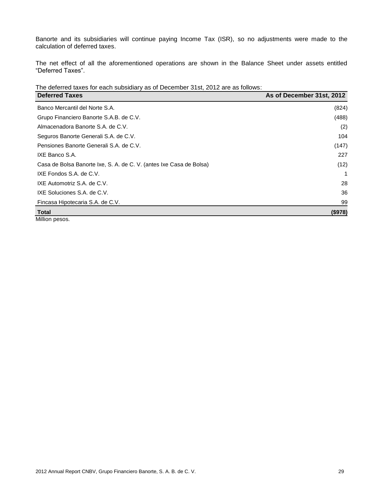Banorte and its subsidiaries will continue paying Income Tax (ISR), so no adjustments were made to the calculation of deferred taxes.

The net effect of all the aforementioned operations are shown in the Balance Sheet under assets entitled "Deferred Taxes".

|  |  |  |  | The deferred taxes for each subsidiary as of December 31st, 2012 are as follows: |
|--|--|--|--|----------------------------------------------------------------------------------|
|  |  |  |  |                                                                                  |

| <b>Deferred Taxes</b>                                               | As of December 31st, 2012 |
|---------------------------------------------------------------------|---------------------------|
| Banco Mercantil del Norte S.A.                                      | (824)                     |
| Grupo Financiero Banorte S.A.B. de C.V.                             | (488)                     |
| Almacenadora Banorte S.A. de C.V.                                   | (2)                       |
| Seguros Banorte Generali S.A. de C.V.                               | 104                       |
| Pensiones Banorte Generali S.A. de C.V.                             | (147)                     |
| IXE Banco S.A.                                                      | 227                       |
| Casa de Bolsa Banorte Ixe, S. A. de C. V. (antes Ixe Casa de Bolsa) | (12)                      |
| IXE Fondos S.A. de C.V.                                             | 1                         |
| IXE Automotriz S.A. de C.V.                                         | 28                        |
| IXE Soluciones S.A. de C.V.                                         | 36                        |
| Fincasa Hipotecaria S.A. de C.V.                                    | 99                        |
| <b>Total</b>                                                        | (\$978)                   |
| .                                                                   |                           |

Million pesos.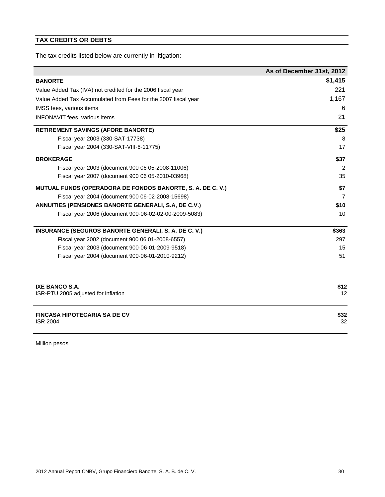### **TAX CREDITS OR DEBTS**

The tax credits listed below are currently in litigation:

|                                                                | As of December 31st, 2012 |
|----------------------------------------------------------------|---------------------------|
| <b>BANORTE</b>                                                 | \$1,415                   |
| Value Added Tax (IVA) not credited for the 2006 fiscal year    | 221                       |
| Value Added Tax Accumulated from Fees for the 2007 fiscal year | 1,167                     |
| IMSS fees, various items                                       | 6                         |
| <b>INFONAVIT</b> fees, various items                           | 21                        |
| <b>RETIREMENT SAVINGS (AFORE BANORTE)</b>                      | \$25                      |
| Fiscal year 2003 (330-SAT-17738)                               | 8                         |
| Fiscal year 2004 (330-SAT-VIII-6-11775)                        | 17                        |
| <b>BROKERAGE</b>                                               | \$37                      |
| Fiscal year 2003 (document 900 06 05-2008-11006)               | 2                         |
| Fiscal year 2007 (document 900 06 05-2010-03968)               | 35                        |
| MUTUAL FUNDS (OPERADORA DE FONDOS BANORTE, S. A. DE C. V.)     | \$7                       |
| Fiscal year 2004 (document 900 06-02-2008-15698)               | $\overline{7}$            |
| ANNUITIES (PENSIONES BANORTE GENERALI, S.A, DE C.V.)           | \$10                      |
| Fiscal year 2006 (document 900-06-02-02-00-2009-5083)          | 10                        |
| INSURANCE (SEGUROS BANORTE GENERALI, S. A. DE C. V.)           | \$363                     |
| Fiscal year 2002 (document 900 06 01-2008-6557)                | 297                       |
| Fiscal year 2003 (document 900-06-01-2009-9518)                | 15                        |
| Fiscal year 2004 (document 900-06-01-2010-9212)                | 51                        |
| <b>IXE BANCO S.A.</b><br>ISR-PTU 2005 adjusted for inflation   | \$12<br>$12 \overline{ }$ |
| <b>FINCASA HIPOTECARIA SA DE CV</b><br><b>ISR 2004</b>         | \$32<br>32                |

Million pesos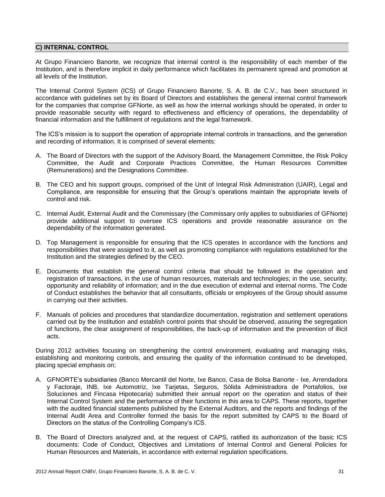### **C) INTERNAL CONTROL**

At Grupo Financiero Banorte, we recognize that internal control is the responsibility of each member of the Institution, and is therefore implicit in daily performance which facilitates its permanent spread and promotion at all levels of the Institution.

The Internal Control System (ICS) of Grupo Financiero Banorte, S. A. B. de C.V., has been structured in accordance with guidelines set by its Board of Directors and establishes the general internal control framework for the companies that comprise GFNorte, as well as how the internal workings should be operated, in order to provide reasonable security with regard to effectiveness and efficiency of operations, the dependability of financial information and the fulfillment of regulations and the legal framework.

The ICS's mission is to support the operation of appropriate internal controls in transactions, and the generation and recording of information. It is comprised of several elements:

- A. The Board of Directors with the support of the Advisory Board, the Management Committee, the Risk Policy Committee, the Audit and Corporate Practices Committee, the Human Resources Committee (Remunerations) and the Designations Committee.
- B. The CEO and his support groups, comprised of the Unit of Integral Risk Administration (UAIR), Legal and Compliance, are responsible for ensuring that the Group's operations maintain the appropriate levels of control and risk.
- C. Internal Audit, External Audit and the Commissary (the Commissary only applies to subsidiaries of GFNorte) provide additional support to oversee ICS operations and provide reasonable assurance on the dependability of the information generated.
- D. Top Management is responsible for ensuring that the ICS operates in accordance with the functions and responsibilities that were assigned to it, as well as promoting compliance with regulations established for the Institution and the strategies defined by the CEO.
- E. Documents that establish the general control criteria that should be followed in the operation and registration of transactions, in the use of human resources, materials and technologies; in the use, security, opportunity and reliability of information; and in the due execution of external and internal norms. The Code of Conduct establishes the behavior that all consultants, officials or employees of the Group should assume in carrying out their activities.
- F. Manuals of policies and procedures that standardize documentation, registration and settlement operations carried out by the Institution and establish control points that should be observed, assuring the segregation of functions, the clear assignment of responsibilities, the back-up of information and the prevention of illicit acts.

During 2012 activities focusing on strengthening the control environment, evaluating and managing risks, establishing and monitoring controls, and ensuring the quality of the information continued to be developed, placing special emphasis on;

- A. GFNORTE's subsidiaries (Banco Mercantil del Norte, Ixe Banco, Casa de Bolsa Banorte Ixe, Arrendadora y Factoraje, INB, Ixe Automotriz, Ixe Tarjetas, Seguros, Sólida Administradora de Portafolios, Ixe Soluciones and Fincasa Hipotecaria) submitted their annual report on the operation and status of their Internal Control System and the performance of their functions in this area to CAPS. These reports, together with the audited financial statements published by the External Auditors, and the reports and findings of the Internal Audit Area and Controller formed the basis for the report submitted by CAPS to the Board of Directors on the status of the Controlling Company's ICS.
- B. The Board of Directors analyzed and, at the request of CAPS, ratified its authorization of the basic ICS documents: Code of Conduct, Objectives and Limitations of Internal Control and General Policies for Human Resources and Materials, in accordance with external regulation specifications.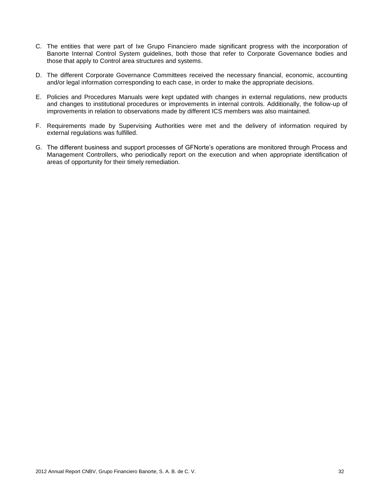- C. The entities that were part of Ixe Grupo Financiero made significant progress with the incorporation of Banorte Internal Control System guidelines, both those that refer to Corporate Governance bodies and those that apply to Control area structures and systems.
- D. The different Corporate Governance Committees received the necessary financial, economic, accounting and/or legal information corresponding to each case, in order to make the appropriate decisions.
- E. Policies and Procedures Manuals were kept updated with changes in external regulations, new products and changes to institutional procedures or improvements in internal controls. Additionally, the follow-up of improvements in relation to observations made by different ICS members was also maintained.
- F. Requirements made by Supervising Authorities were met and the delivery of information required by external regulations was fulfilled.
- G. The different business and support processes of GFNorte's operations are monitored through Process and Management Controllers, who periodically report on the execution and when appropriate identification of areas of opportunity for their timely remediation.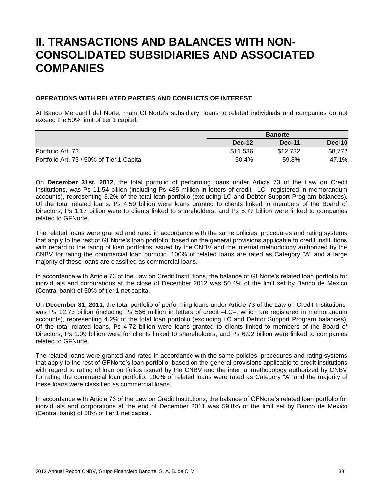# **II. TRANSACTIONS AND BALANCES WITH NON-CONSOLIDATED SUBSIDIARIES AND ASSOCIATED COMPANIES**

### **OPERATIONS WITH RELATED PARTIES AND CONFLICTS OF INTEREST**

At Banco Mercantil del Norte, main GFNorte's subsidiary, loans to related individuals and companies do not exceed the 50% limit of tier 1 capital.

|                                           | <b>Banorte</b> |               |          |
|-------------------------------------------|----------------|---------------|----------|
|                                           | Dec-12         | <b>Dec-11</b> | $Dec-10$ |
| Portfolio Art. 73                         | \$11,536       | \$12,732      | \$8,772  |
| Portfolio Art. 73 / 50% of Tier 1 Capital | 50.4%          | 59.8%         | 47.1%    |

On **December 31st, 2012**, the total portfolio of performing loans under Article 73 of the Law on Credit Institutions, was Ps 11.54 billion (including Ps 485 million in letters of credit –LC– registered in memorandum accounts), representing 3.2% of the total loan portfolio (excluding LC and Debtor Support Program balances). Of the total related loans, Ps 4.59 billion were loans granted to clients linked to members of the Board of Directors, Ps 1.17 billion were to clients linked to shareholders, and Ps 5.77 billion were linked to companies related to GFNorte.

The related loans were granted and rated in accordance with the same policies, procedures and rating systems that apply to the rest of GFNorte's loan portfolio, based on the general provisions applicable to credit institutions with regard to the rating of loan portfolios issued by the CNBV and the internal methodology authorized by the CNBV for rating the commercial loan portfolio. 100% of related loans are rated as Category "A" and a large majority of these loans are classified as commercial loans.

In accordance with Article 73 of the Law on Credit Institutions, the balance of GFNorte's related loan portfolio for individuals and corporations at the close of December 2012 was 50.4% of the limit set by Banco de Mexico (Central bank) of 50% of tier 1 net capital

On **December 31, 2011**, the total portfolio of performing loans under Article 73 of the Law on Credit Institutions, was Ps 12.73 billion (including Ps 566 million in letters of credit –LC–, which are registered in memorandum accounts), representing 4.2% of the total loan portfolio (excluding LC and Debtor Support Program balances). Of the total related loans, Ps 4.72 billion were loans granted to clients linked to members of the Board of Directors, Ps 1.09 billion were for clients linked to shareholders, and Ps 6.92 billion were linked to companies related to GFNorte.

The related loans were granted and rated in accordance with the same policies, procedures and rating systems that apply to the rest of GFNorte's loan portfolio, based on the general provisions applicable to credit institutions with regard to rating of loan portfolios issued by the CNBV and the internal methodology authorized by CNBV for rating the commercial loan portfolio. 100% of related loans were rated as Category "A" and the majority of these loans were classified as commercial loans.

In accordance with Article 73 of the Law on Credit Institutions, the balance of GFNorte's related loan portfolio for individuals and corporations at the end of December 2011 was 59.8% of the limit set by Banco de Mexico (Central bank) of 50% of tier 1 net capital.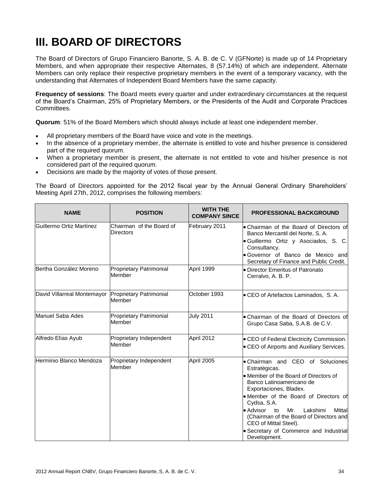# **III. BOARD OF DIRECTORS**

The Board of Directors of Grupo Financiero Banorte, S. A. B. de C. V (GFNorte) is made up of 14 Proprietary Members, and when appropriate their respective Alternates, 8 (57.14%) of which are independent. Alternate Members can only replace their respective proprietary members in the event of a temporary vacancy, with the understanding that Alternates of Independent Board Members have the same capacity.

**Frequency of sessions**: The Board meets every quarter and under extraordinary circumstances at the request of the Board's Chairman, 25% of Proprietary Members, or the Presidents of the Audit and Corporate Practices Committees.

**Quorum**: 51% of the Board Members which should always include at least one independent member.

- All proprietary members of the Board have voice and vote in the meetings.
- In the absence of a proprietary member, the alternate is entitled to vote and his/her presence is considered part of the required quorum.
- When a proprietary member is present, the alternate is not entitled to vote and his/her presence is not considered part of the required quorum.
- Decisions are made by the majority of votes of those present.

The Board of Directors appointed for the 2012 fiscal year by the Annual General Ordinary Shareholders' Meeting April 27th, 2012, comprises the following members:

| <b>NAME</b>                 | <b>POSITION</b>                              | <b>WITH THE</b><br><b>COMPANY SINCE</b> | <b>PROFESSIONAL BACKGROUND</b>                                                                                                                                                                                                                                                                                                                                                                       |
|-----------------------------|----------------------------------------------|-----------------------------------------|------------------------------------------------------------------------------------------------------------------------------------------------------------------------------------------------------------------------------------------------------------------------------------------------------------------------------------------------------------------------------------------------------|
| Guillermo Ortiz Martínez    | Chairman of the Board of<br><b>Directors</b> | February 2011                           | <b>• Chairman of the Board of Directors of</b><br>Banco Mercantil del Norte, S. A.<br>· Guillermo Ortiz y Asociados, S. C.<br>Consultancy.<br>Governor of Banco de Mexico and<br>Secretary of Finance and Public Credit.                                                                                                                                                                             |
| Bertha González Moreno      | <b>Proprietary Patrimonial</b><br>Member     | April 1999                              | • Director Emeritus of Patronato<br>Cerralvo, A. B. P.                                                                                                                                                                                                                                                                                                                                               |
| David Villarreal Montemayor | <b>Proprietary Patrimonial</b><br>Member     | October 1993                            | • CEO of Artefactos Laminados, S.A.                                                                                                                                                                                                                                                                                                                                                                  |
| Manuel Saba Ades            | <b>Proprietary Patrimonial</b><br>Member     | <b>July 2011</b>                        | • Chairman of the Board of Directors of<br>Grupo Casa Saba, S.A.B. de C.V.                                                                                                                                                                                                                                                                                                                           |
| Alfredo Elías Ayub          | Proprietary Independent<br>Member            | April 2012                              | • CEO of Federal Electricity Commission.<br>• CEO of Airports and Auxiliary Services.                                                                                                                                                                                                                                                                                                                |
| Herminio Blanco Mendoza     | Proprietary Independent<br>Member            | April 2005                              | <b>• Chairman</b> and CEO of Soluciones<br>Estratégicas.<br>• Member of the Board of Directors of<br>Banco Latinoamericano de<br>Exportaciones, Bladex.<br>• Member of the Board of Directors of<br>Cydsa, S.A.<br>• Advisor<br>Lakshimi<br><b>Mittal</b><br>to<br>Mr.<br>(Chairman of the Board of Directors and<br>CEO of Mittal Steel).<br>· Secretary of Commerce and Industrial<br>Development. |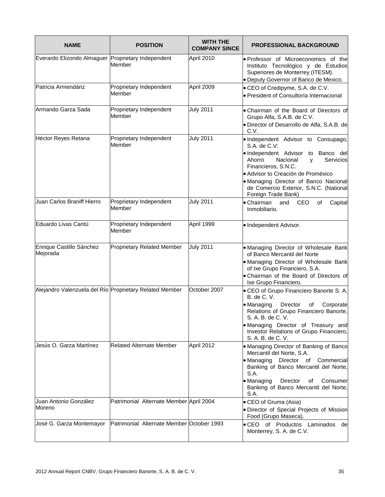| <b>NAME</b>                                             | <b>POSITION</b>                           | WITH THE<br><b>COMPANY SINCE</b> | <b>PROFESSIONAL BACKGROUND</b>                                                                                                                                                                                                                                                                                  |
|---------------------------------------------------------|-------------------------------------------|----------------------------------|-----------------------------------------------------------------------------------------------------------------------------------------------------------------------------------------------------------------------------------------------------------------------------------------------------------------|
| Everardo Elizondo Almaguer Proprietary Independent      | Member                                    | April 2010                       | . Professor of Microeconomics of the<br>Instituto Tecnológico y de Estudios<br>Superiores de Monterrey (ITESM).<br>· Deputy Governor of Banco de Mexico.                                                                                                                                                        |
| Patricia Armendáriz                                     | Proprietary Independent<br>Member         | April 2009                       | • CEO of Credipyme, S.A. de C.V.<br>• President of Consultoría Internacional                                                                                                                                                                                                                                    |
| Armando Garza Sada                                      | Proprietary Independent<br>Member         | <b>July 2011</b>                 | • Chairman of the Board of Directors of<br>Grupo Alfa, S.A.B. de C.V.<br>· Director of Desarrollo de Alfa, S.A.B. de<br>C.V.                                                                                                                                                                                    |
| Héctor Reyes Retana                                     | Proprietary Independent<br>Member         | <b>July 2011</b>                 | · Independent Advisor to Consupago,<br>S.A. de C.V:<br>. Independent Advisor to Banco del<br>Ahorro<br>Nacional<br>Servicios<br><b>V</b><br>Financieros, S.N.C.<br>· Advisor to Creación de Proméxico<br>• Managing Director of Banco Nacional<br>de Comercio Exterior, S.N.C. (National<br>Foreign Trade Bank) |
| Juan Carlos Braniff Hierro                              | Proprietary Independent<br>Member         | <b>July 2011</b>                 | • Chairman<br><b>CEO</b><br>of<br>and<br>Capital<br>Inmobiliario.                                                                                                                                                                                                                                               |
| Eduardo Livas Cantú                                     | Proprietary Independent<br>Member         | April 1999                       | · Independent Advisor.                                                                                                                                                                                                                                                                                          |
| Enrique Castillo Sánchez<br>Mejorada                    | <b>Proprietary Related Member</b>         | <b>July 2011</b>                 | • Managing Director of Wholesale Bank<br>of Banco Mercantil del Norte<br>. Managing Director of Wholesale Bank<br>of Ixe Grupo Financiero, S.A.<br>. Chairman of the Board of Directors of<br>Ixe Grupo Financiero.                                                                                             |
| Alejandro Valenzuela del Río Proprietary Related Member |                                           | October 2007                     | • CEO of Grupo Financiero Banorte S. A.<br>B. de C. V.<br>• Managing<br>Director<br>of<br>Corporate<br>Relations of Grupo Financiero Banorte,<br>S. A. B. de C. V.<br>. Managing Director of Treasury and<br>Investor Relations of Grupo Financiero,<br>S. A. B. de C. V.                                       |
| Jesús O. Garza Martínez                                 | <b>Related Alternate Member</b>           | April 2012                       | • Managing Director of Banking of Banco<br>Mercantil del Norte, S.A.<br>• Managing<br>Director of Commercial<br>Banking of Banco Mercantil del Norte,<br>S.A.<br>• Managing<br>Director<br>Consumer<br>οf<br>Banking of Banco Mercantil del Norte,<br>S.A.                                                      |
| Juan Antonio González<br>Moreno                         | Patrimonial Alternate Member April 2004   |                                  | • CEO of Gruma (Asia)<br>· Director of Special Projects of Mission<br>Food (Grupo Maseca).                                                                                                                                                                                                                      |
| José G. Garza Montemayor                                | Patrimonial Alternate Member October 1993 |                                  | . CEO of Productos Laminados<br>del<br>Monterrey, S. A. de C.V.                                                                                                                                                                                                                                                 |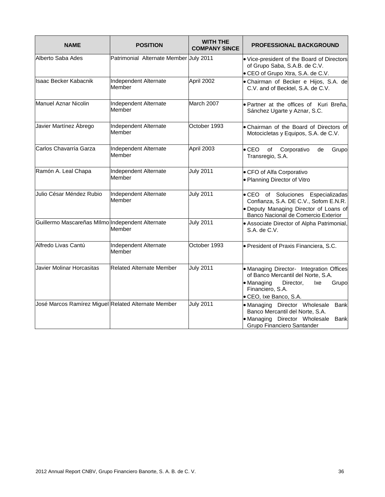| <b>NAME</b>                                         | <b>POSITION</b>                        | <b>WITH THE</b><br><b>COMPANY SINCE</b> | <b>PROFESSIONAL BACKGROUND</b>                                                                                                                                        |
|-----------------------------------------------------|----------------------------------------|-----------------------------------------|-----------------------------------------------------------------------------------------------------------------------------------------------------------------------|
| Alberto Saba Ades                                   | Patrimonial Alternate Member July 2011 |                                         | • Vice-president of the Board of Directors<br>of Grupo Saba, S.A.B. de C.V.<br>• CEO of Grupo Xtra, S.A. de C.V.                                                      |
| <b>Isaac Becker Kabacnik</b>                        | Independent Alternate<br>Member        | April 2002                              | · Chairman of Becker e Hijos, S.A. de<br>C.V. and of Becktel, S.A. de C.V.                                                                                            |
| Manuel Aznar Nicolin                                | Independent Alternate<br>Member        | March 2007                              | Partner at the offices of Kuri Breña,<br>Sánchez Ugarte y Aznar, S.C.                                                                                                 |
| Javier Martínez Ábrego                              | Independent Alternate<br>Member        | October 1993                            | • Chairman of the Board of Directors of<br>Motocicletas y Equipos, S.A. de C.V.                                                                                       |
| Carlos Chavarría Garza                              | Independent Alternate<br>Member        | April 2003                              | $\bullet$ CEO<br>of<br>Corporativo<br>Grupo<br>de<br>Transregio, S.A.                                                                                                 |
| Ramón A. Leal Chapa                                 | Independent Alternate<br>Member        | <b>July 2011</b>                        | • CFO of Alfa Corporativo<br>· Planning Director of Vitro                                                                                                             |
| Julio César Méndez Rubio                            | Independent Alternate<br>Member        | <b>July 2011</b>                        | • CEO of Soluciones Especializadas<br>Confianza, S.A. DE C.V., Sofom E.N.R.<br>· Deputy Managing Director of Loans of<br>Banco Nacional de Comercio Exterior          |
| Guillermo Mascareñas MIImo Independent Alternate    | Member                                 | <b>July 2011</b>                        | • Associate Director of Alpha Patrimonial,<br>S.A. de C.V.                                                                                                            |
| Alfredo Livas Cantú                                 | Independent Alternate<br>Member        | October 1993                            | · President of Praxis Financiera, S.C.                                                                                                                                |
| Javier Molinar Horcasitas                           | <b>Related Alternate Member</b>        | <b>July 2011</b>                        | • Managing Director- Integration Offices<br>of Banco Mercantil del Norte, S.A.<br>• Managing<br>Director,<br>lxe<br>Grupo<br>Financiero, S.A.<br>CEO, Ixe Banco, S.A. |
| José Marcos Ramírez Miguel Related Alternate Member |                                        | <b>July 2011</b>                        | • Managing Director Wholesale<br><b>Bank</b><br>Banco Mercantil del Norte, S.A.<br>• Managing Director Wholesale<br><b>Bank</b><br>Grupo Financiero Santander         |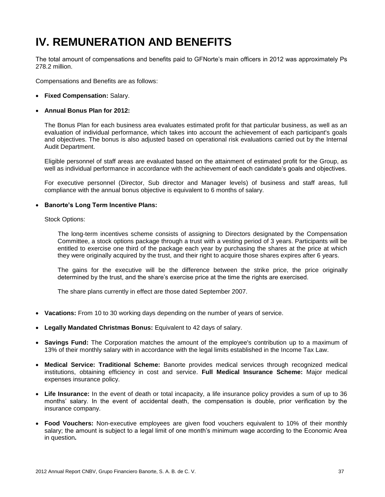# **IV. REMUNERATION AND BENEFITS**

The total amount of compensations and benefits paid to GFNorte's main officers in 2012 was approximately Ps 278.2 million.

Compensations and Benefits are as follows:

- **Fixed Compensation:** Salary.
- **Annual Bonus Plan for 2012:**

The Bonus Plan for each business area evaluates estimated profit for that particular business, as well as an evaluation of individual performance, which takes into account the achievement of each participant's goals and objectives. The bonus is also adjusted based on operational risk evaluations carried out by the Internal Audit Department.

Eligible personnel of staff areas are evaluated based on the attainment of estimated profit for the Group, as well as individual performance in accordance with the achievement of each candidate's goals and objectives.

For executive personnel (Director, Sub director and Manager levels) of business and staff areas, full compliance with the annual bonus objective is equivalent to 6 months of salary.

### **Banorte's Long Term Incentive Plans:**

Stock Options:

The long-term incentives scheme consists of assigning to Directors designated by the Compensation Committee, a stock options package through a trust with a vesting period of 3 years. Participants will be entitled to exercise one third of the package each year by purchasing the shares at the price at which they were originally acquired by the trust, and their right to acquire those shares expires after 6 years.

The gains for the executive will be the difference between the strike price, the price originally determined by the trust, and the share's exercise price at the time the rights are exercised.

The share plans currently in effect are those dated September 2007.

- **Vacations:** From 10 to 30 working days depending on the number of years of service.
- **Legally Mandated Christmas Bonus:** Equivalent to 42 days of salary.
- **Savings Fund:** The Corporation matches the amount of the employee's contribution up to a maximum of 13% of their monthly salary with in accordance with the legal limits established in the Income Tax Law.
- **Medical Service: Traditional Scheme:** Banorte provides medical services through recognized medical institutions, obtaining efficiency in cost and service. **Full Medical Insurance Scheme:** Major medical expenses insurance policy.
- **Life Insurance:** In the event of death or total incapacity, a life insurance policy provides a sum of up to 36 months' salary. In the event of accidental death, the compensation is double, prior verification by the insurance company.
- **Food Vouchers:** Non-executive employees are given food vouchers equivalent to 10% of their monthly salary; the amount is subject to a legal limit of one month's minimum wage according to the Economic Area in question**.**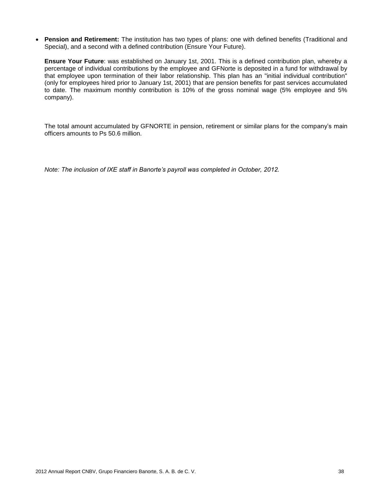**Pension and Retirement:** The institution has two types of plans: one with defined benefits (Traditional and Special), and a second with a defined contribution (Ensure Your Future).

**Ensure Your Future**: was established on January 1st, 2001. This is a defined contribution plan, whereby a percentage of individual contributions by the employee and GFNorte is deposited in a fund for withdrawal by that employee upon termination of their labor relationship. This plan has an "initial individual contribution" (only for employees hired prior to January 1st, 2001) that are pension benefits for past services accumulated to date. The maximum monthly contribution is 10% of the gross nominal wage (5% employee and 5% company).

The total amount accumulated by GFNORTE in pension, retirement or similar plans for the company's main officers amounts to Ps 50.6 million.

*Note: The inclusion of IXE staff in Banorte's payroll was completed in October, 2012.*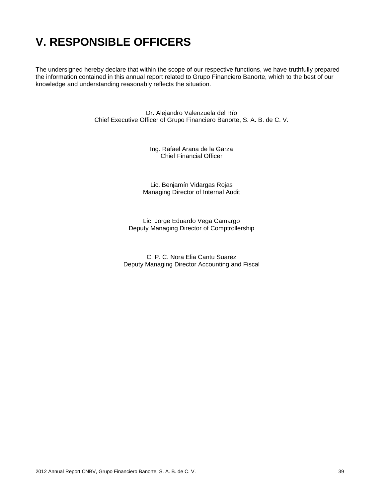# **V. RESPONSIBLE OFFICERS**

The undersigned hereby declare that within the scope of our respective functions, we have truthfully prepared the information contained in this annual report related to Grupo Financiero Banorte, which to the best of our knowledge and understanding reasonably reflects the situation.

> Dr. Alejandro Valenzuela del Río Chief Executive Officer of Grupo Financiero Banorte, S. A. B. de C. V.

> > Ing. Rafael Arana de la Garza Chief Financial Officer

Lic. Benjamín Vidargas Rojas Managing Director of Internal Audit

Lic. Jorge Eduardo Vega Camargo Deputy Managing Director of Comptrollership

C. P. C. Nora Elia Cantu Suarez Deputy Managing Director Accounting and Fiscal